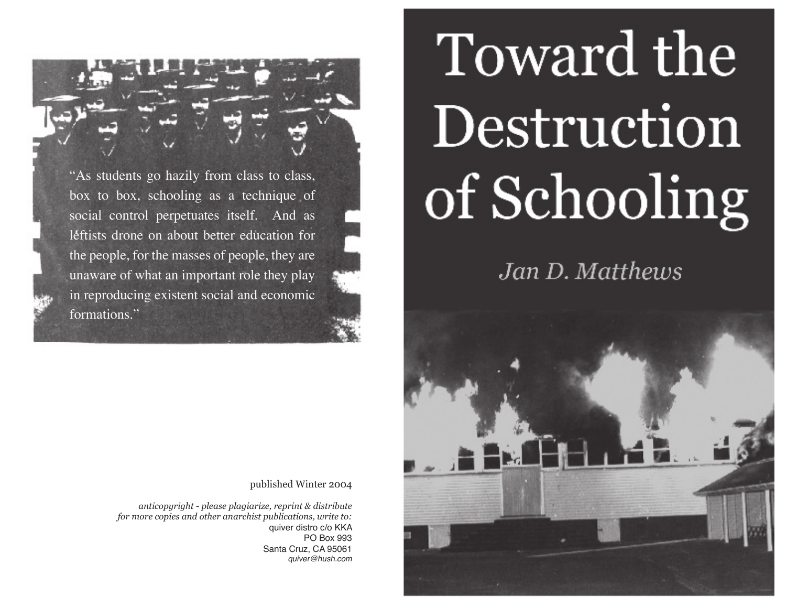"As students go hazily from class to class, box to box, schooling as a technique of social control perpetuates itself. And as leftists drone on about better education for the people, for the masses of people, they are unaware of what an important role they play in reproducing existent social and economic formations."

# Toward the Destruction of Schooling

Jan D. Matthews



published Winter 2004

*anticopyright - please plagiarize, reprint & distribute for more copies and other anarchist publications, write to:* quiver distro c/o KKA PO Box 993 Santa Cruz, CA 95061 quiver@hush.com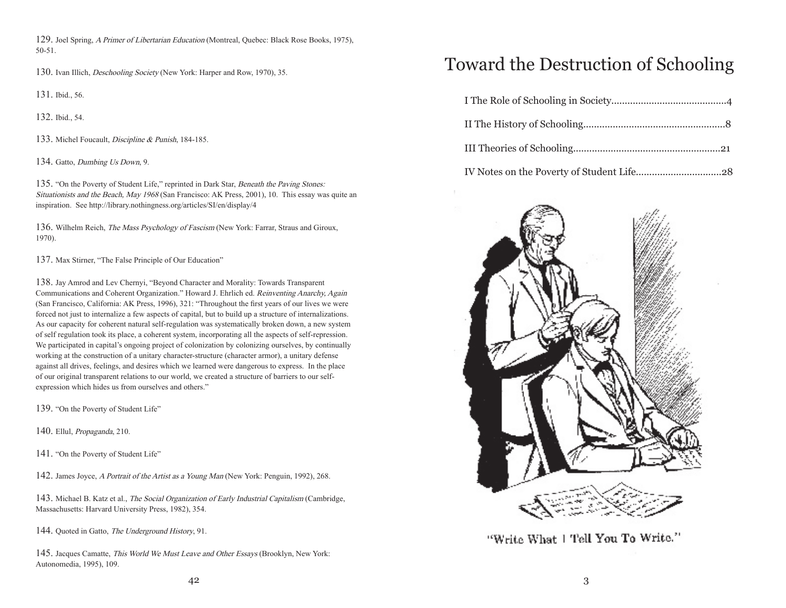129. Joel Spring, A Primer of Libertarian Education (Montreal, Quebec: Black Rose Books, 1975), 50-51.

130. Ivan Illich, Deschooling Society (New York: Harper and Row, 1970), 35.

131. Ibid., 56.

132. Ibid., 54.

133. Michel Foucault, Discipline & Punish, 184-185.

134. Gatto, Dumbing Us Down, 9.

135. "On the Poverty of Student Life," reprinted in Dark Star, Beneath the Paving Stones: Situationists and the Beach, May 1968 (San Francisco: AK Press, 2001), 10. This essay was quite an inspiration. See http://library.nothingness.org/articles/SI/en/display/4

136. Wilhelm Reich, The Mass Psychology of Fascism (New York: Farrar, Straus and Giroux, 1970).

137. Max Stirner, "The False Principle of Our Education"

138. Jay Amrod and Lev Chernyi, "Beyond Character and Morality: Towards Transparent Communications and Coherent Organization." Howard J. Ehrlich ed. Reinventing Anarchy, Again (San Francisco, California: AK Press, 1996), 321: "Throughout the first years of our lives we were forced not just to internalize a few aspects of capital, but to build up a structure of internalizations. As our capacity for coherent natural self-regulation was systematically broken down, a new system of self regulation took its place, a coherent system, incorporating all the aspects of self-repression. We participated in capital's ongoing project of colonization by colonizing ourselves, by continually working at the construction of a unitary character-structure (character armor), a unitary defense against all drives, feelings, and desires which we learned were dangerous to express. In the place of our original transparent relations to our world, we created a structure of barriers to our selfexpression which hides us from ourselves and others."

139. "On the Poverty of Student Life"

140. Ellul, Propaganda, 210.

141. "On the Poverty of Student Life"

142. James Joyce, A Portrait of the Artist as a Young Man (New York: Penguin, 1992), 268.

143. Michael B. Katz et al., The Social Organization of Early Industrial Capitalism (Cambridge, Massachusetts: Harvard University Press, 1982), 354.

144. Quoted in Gatto, The Underground History, 91.

145. Jacques Camatte, This World We Must Leave and Other Essays (Brooklyn, New York: Autonomedia, 1995), 109.

## Toward the Destruction of Schooling



"Write What I Tell You To Write."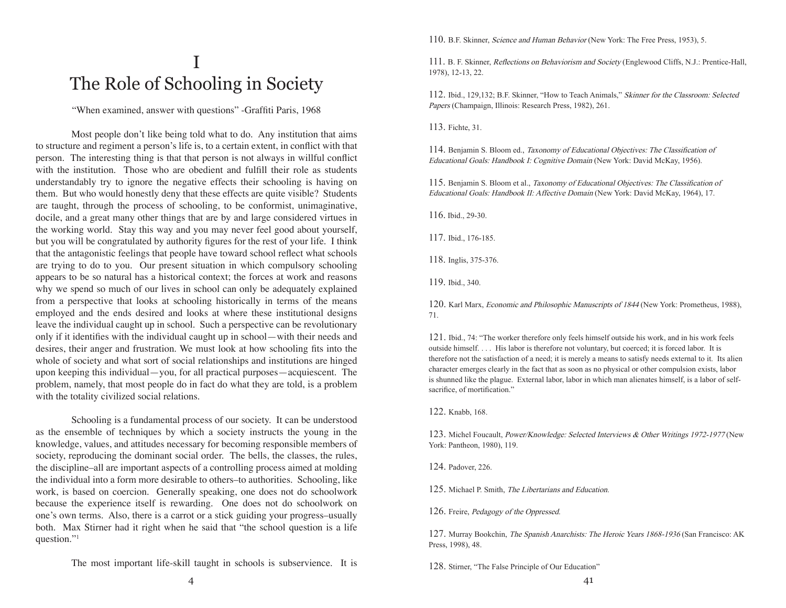## I The Role of Schooling in Society

"When examined, answer with questions" -Graffiti Paris, 1968

Most people don't like being told what to do. Any institution that aims to structure and regiment a person's life is, to a certain extent, in conflict with that person. The interesting thing is that that person is not always in willful conflict with the institution. Those who are obedient and fulfill their role as students understandably try to ignore the negative effects their schooling is having on them. But who would honestly deny that these effects are quite visible? Students are taught, through the process of schooling, to be conformist, unimaginative, docile, and a great many other things that are by and large considered virtues in the working world. Stay this way and you may never feel good about yourself, but you will be congratulated by authority figures for the rest of your life. I think that the antagonistic feelings that people have toward school reflect what schools are trying to do to you. Our present situation in which compulsory schooling appears to be so natural has a historical context; the forces at work and reasons why we spend so much of our lives in school can only be adequately explained from a perspective that looks at schooling historically in terms of the means employed and the ends desired and looks at where these institutional designs leave the individual caught up in school. Such a perspective can be revolutionary only if it identifies with the individual caught up in school—with their needs and desires, their anger and frustration. We must look at how schooling fits into the whole of society and what sort of social relationships and institutions are hinged upon keeping this individual—you, for all practical purposes—acquiescent. The problem, namely, that most people do in fact do what they are told, is a problem with the totality civilized social relations.

Schooling is a fundamental process of our society. It can be understood as the ensemble of techniques by which a society instructs the young in the knowledge, values, and attitudes necessary for becoming responsible members of society, reproducing the dominant social order. The bells, the classes, the rules, the discipline–all are important aspects of a controlling process aimed at molding the individual into a form more desirable to others–to authorities. Schooling, like work, is based on coercion. Generally speaking, one does not do schoolwork because the experience itself is rewarding. One does not do schoolwork on one's own terms. Also, there is a carrot or a stick guiding your progress–usually both. Max Stirner had it right when he said that "the school question is a life question."<sup>1</sup>

The most important life-skill taught in schools is subservience. It is

110. B.F. Skinner, Science and Human Behavior (New York: The Free Press, 1953), 5.

111. B. F. Skinner, Reflections on Behaviorism and Society (Englewood Cliffs, N.J.: Prentice-Hall, 1978), 12-13, 22.

112. Ibid., 129,132; B.F. Skinner, "How to Teach Animals," Skinner for the Classroom: Selected Papers (Champaign, Illinois: Research Press, 1982), 261.

113. Fichte, 31.

114. Benjamin S. Bloom ed., Taxonomy of Educational Objectives: The Classification of Educational Goals: Handbook I: Cognitive Domain (New York: David McKay, 1956).

115. Benjamin S. Bloom et al., Taxonomy of Educational Objectives: The Classification of Educational Goals: Handbook II: Affective Domain (New York: David McKay, 1964), 17.

116. Ibid., 29-30.

117. Ibid., 176-185.

118. Inglis, 375-376.

119. Ibid., 340.

120. Karl Marx, Economic and Philosophic Manuscripts of 1844 (New York: Prometheus, 1988), 71.

121. Ibid., 74: "The worker therefore only feels himself outside his work, and in his work feels outside himself. . . . His labor is therefore not voluntary, but coerced; it is forced labor. It is therefore not the satisfaction of a need; it is merely a means to satisfy needs external to it. Its alien character emerges clearly in the fact that as soon as no physical or other compulsion exists, labor is shunned like the plague. External labor, labor in which man alienates himself, is a labor of selfsacrifice, of mortification."

122. Knabb, 168.

123. Michel Foucault, Power/Knowledge: Selected Interviews & Other Writings 1972-1977 (New York: Pantheon, 1980), 119.

124. Padover, 226.

125. Michael P. Smith, The Libertarians and Education.

126. Freire, Pedagogy of the Oppressed.

127. Murray Bookchin, The Spanish Anarchists: The Heroic Years 1868-1936 (San Francisco: AK Press, 1998), 48.

128. Stirner, "The False Principle of Our Education"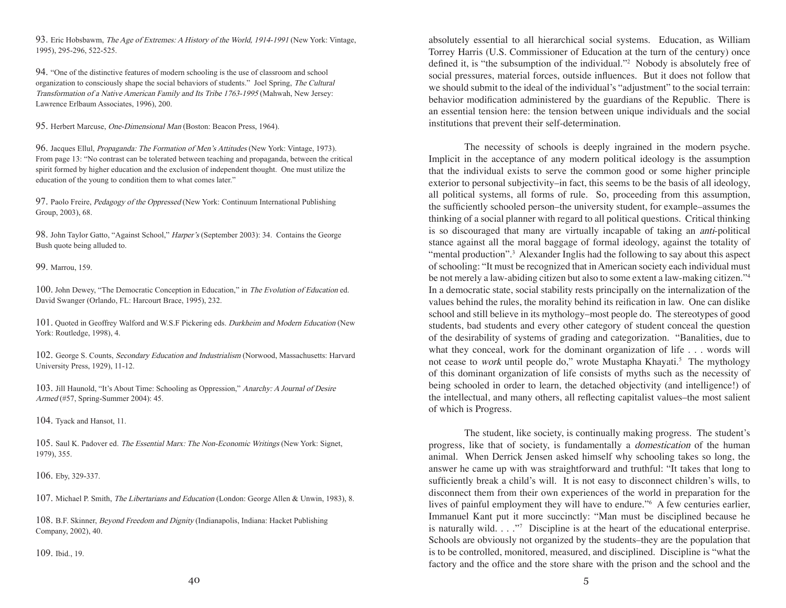93. Eric Hobsbawm, *The Age of Extremes: A History of the World, 1914-1991* (New York: Vintage, 1995), 295-296, 522-525.

94. "One of the distinctive features of modern schooling is the use of classroom and school organization to consciously shape the social behaviors of students." Joel Spring, The Cultural Transformation of a Native American Family and Its Tribe 1763-1995 (Mahwah, New Jersey: Lawrence Erlbaum Associates, 1996), 200.

95. Herbert Marcuse, One-Dimensional Man (Boston: Beacon Press, 1964).

96. Jacques Ellul, Propaganda: The Formation of Men's Attitudes (New York: Vintage, 1973). From page 13: "No contrast can be tolerated between teaching and propaganda, between the critical spirit formed by higher education and the exclusion of independent thought. One must utilize the education of the young to condition them to what comes later."

97. Paolo Freire, Pedagogy of the Oppressed (New York: Continuum International Publishing Group, 2003), 68.

98. John Taylor Gatto, "Against School," Harper's (September 2003): 34. Contains the George Bush quote being alluded to.

99. Marrou, 159.

100. John Dewey, "The Democratic Conception in Education," in The Evolution of Education ed. David Swanger (Orlando, FL: Harcourt Brace, 1995), 232.

101. Quoted in Geoffrey Walford and W.S.F Pickering eds. Durkheim and Modern Education (New York: Routledge, 1998), 4.

102. George S. Counts, Secondary Education and Industrialism (Norwood, Massachusetts: Harvard University Press, 1929), 11-12.

103. Jill Haunold, "It's About Time: Schooling as Oppression," Anarchy: A Journal of Desire Armed (#57, Spring-Summer 2004): 45.

104. Tyack and Hansot, 11.

105. Saul K. Padover ed. The Essential Marx: The Non-Economic Writings (New York: Signet, 1979), 355.

106. Eby, 329-337.

107. Michael P. Smith, The Libertarians and Education (London: George Allen & Unwin, 1983), 8.

108. B.F. Skinner, Beyond Freedom and Dignity (Indianapolis, Indiana: Hacket Publishing Company, 2002), 40.

109. Ibid., 19.

absolutely essential to all hierarchical social systems. Education, as William Torrey Harris (U.S. Commissioner of Education at the turn of the century) once defined it, is "the subsumption of the individual."<sup>2</sup> Nobody is absolutely free of social pressures, material forces, outside influences. But it does not follow that we should submit to the ideal of the individual's "adjustment" to the social terrain: behavior modification administered by the guardians of the Republic. There is an essential tension here: the tension between unique individuals and the social institutions that prevent their self-determination.

The necessity of schools is deeply ingrained in the modern psyche. Implicit in the acceptance of any modern political ideology is the assumption that the individual exists to serve the common good or some higher principle exterior to personal subjectivity–in fact, this seems to be the basis of all ideology, all political systems, all forms of rule. So, proceeding from this assumption, the sufficiently schooled person–the university student, for example–assumes the thinking of a social planner with regard to all political questions. Critical thinking is so discouraged that many are virtually incapable of taking an anti-political stance against all the moral baggage of formal ideology, against the totality of "mental production".<sup>3</sup> Alexander Inglis had the following to say about this aspect of schooling: "It must be recognized that in American society each individual must be not merely a law-abiding citizen but also to some extent a law-making citizen."<sup>4</sup> In a democratic state, social stability rests principally on the internalization of the values behind the rules, the morality behind its reification in law. One can dislike school and still believe in its mythology–most people do. The stereotypes of good students, bad students and every other category of student conceal the question of the desirability of systems of grading and categorization. "Banalities, due to what they conceal, work for the dominant organization of life . . . words will not cease to *work* until people do," wrote Mustapha Khayati.<sup>5</sup> The mythology of this dominant organization of life consists of myths such as the necessity of being schooled in order to learn, the detached objectivity (and intelligence!) of the intellectual, and many others, all reflecting capitalist values–the most salient of which is Progress.

The student, like society, is continually making progress. The student's progress, like that of society, is fundamentally a domestication of the human animal. When Derrick Jensen asked himself why schooling takes so long, the answer he came up with was straightforward and truthful: "It takes that long to sufficiently break a child's will. It is not easy to disconnect children's wills, to disconnect them from their own experiences of the world in preparation for the lives of painful employment they will have to endure."<sup>6</sup> A few centuries earlier, Immanuel Kant put it more succinctly: "Man must be disciplined because he is naturally wild. . . ."7 Discipline is at the heart of the educational enterprise. Schools are obviously not organized by the students–they are the population that is to be controlled, monitored, measured, and disciplined. Discipline is "what the factory and the office and the store share with the prison and the school and the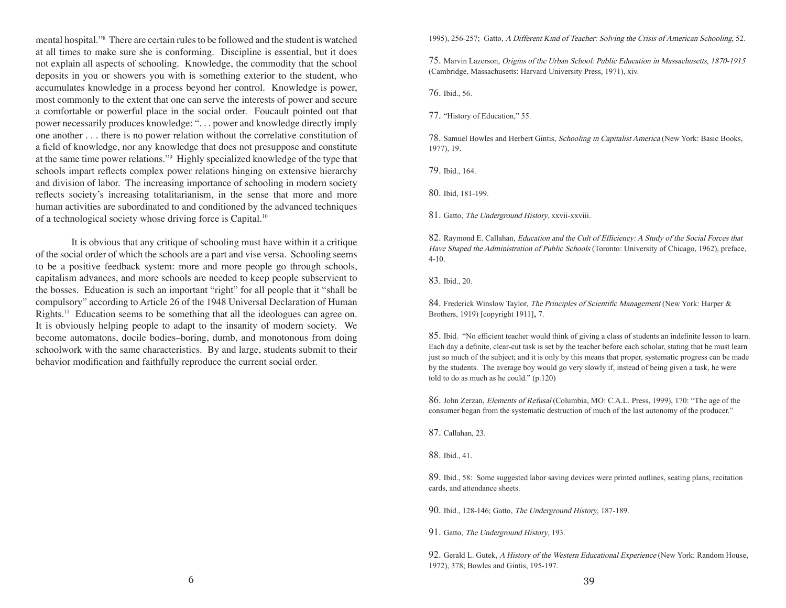mental hospital."<sup>8</sup> There are certain rules to be followed and the student is watched at all times to make sure she is conforming. Discipline is essential, but it does not explain all aspects of schooling. Knowledge, the commodity that the school deposits in you or showers you with is something exterior to the student, who accumulates knowledge in a process beyond her control. Knowledge is power, most commonly to the extent that one can serve the interests of power and secure a comfortable or powerful place in the social order. Foucault pointed out that power necessarily produces knowledge: ". . . power and knowledge directly imply one another . . . there is no power relation without the correlative constitution of a field of knowledge, nor any knowledge that does not presuppose and constitute at the same time power relations."<sup>9</sup> Highly specialized knowledge of the type that schools impart reflects complex power relations hinging on extensive hierarchy and division of labor. The increasing importance of schooling in modern society reflects society's increasing totalitarianism, in the sense that more and more human activities are subordinated to and conditioned by the advanced techniques of a technological society whose driving force is Capital.<sup>10</sup>

It is obvious that any critique of schooling must have within it a critique of the social order of which the schools are a part and vise versa. Schooling seems to be a positive feedback system: more and more people go through schools, capitalism advances, and more schools are needed to keep people subservient to the bosses. Education is such an important "right" for all people that it "shall be compulsory" according to Article 26 of the 1948 Universal Declaration of Human Rights.<sup>11</sup> Education seems to be something that all the ideologues can agree on. It is obviously helping people to adapt to the insanity of modern society. We become automatons, docile bodies–boring, dumb, and monotonous from doing schoolwork with the same characteristics. By and large, students submit to their behavior modification and faithfully reproduce the current social order.

1995), 256-257; Gatto, A Different Kind of Teacher: Solving the Crisis of American Schooling, 52.

75. Marvin Lazerson, Origins of the Urban School: Public Education in Massachusetts, 1870-1915 (Cambridge, Massachusetts: Harvard University Press, 1971), xiv.

76. Ibid., 56.

77. "History of Education," 55.

78. Samuel Bowles and Herbert Gintis, Schooling in Capitalist America (New York: Basic Books, 1977), 19.

79. Ibid., 164.

80. Ibid, 181-199.

81. Gatto, The Underground History, xxvii-xxviii.

82. Raymond E. Callahan, Education and the Cult of Efficiency: A Study of the Social Forces that Have Shaped the Administration of Public Schools (Toronto: University of Chicago, 1962), preface, 4-10.

83. Ibid., 20.

84. Frederick Winslow Taylor, The Principles of Scientific Management (New York: Harper & Brothers, 1919) [copyright 1911], 7.

85. Ibid. "No efficient teacher would think of giving a class of students an indefinite lesson to learn. Each day a definite, clear-cut task is set by the teacher before each scholar, stating that he must learn just so much of the subject; and it is only by this means that proper, systematic progress can be made by the students. The average boy would go very slowly if, instead of being given a task, he were told to do as much as he could." (p.120)

86. John Zerzan, Elements of Refusal (Columbia, MO: C.A.L. Press, 1999), 170: "The age of the consumer began from the systematic destruction of much of the last autonomy of the producer."

87. Callahan, 23.

88. Ibid., 41.

89. Ibid., 58: Some suggested labor saving devices were printed outlines, seating plans, recitation cards, and attendance sheets.

90. Ibid., 128-146; Gatto, The Underground History, 187-189.

91. Gatto, The Underground History, 193.

92. Gerald L. Gutek, A History of the Western Educational Experience (New York: Random House, 1972), 378; Bowles and Gintis, 195-197.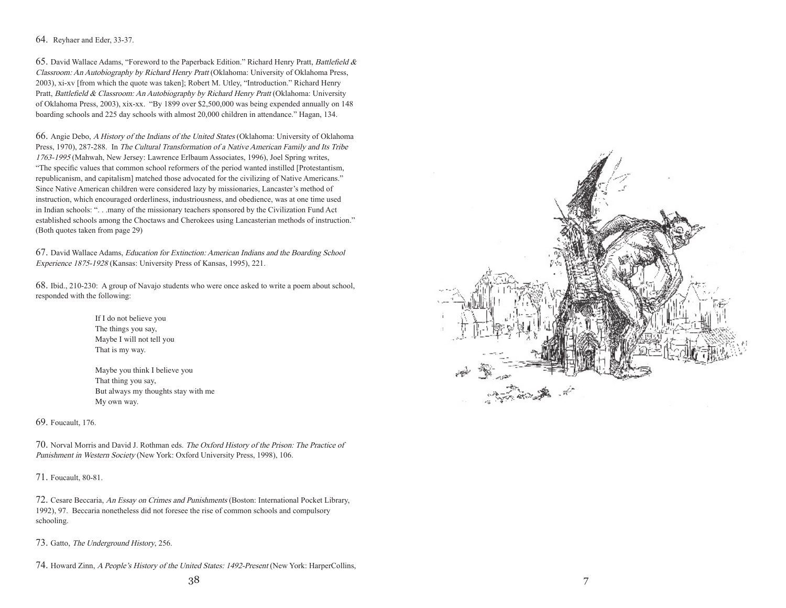#### 64. Reyhaer and Eder, 33-37.

65. David Wallace Adams, "Foreword to the Paperback Edition." Richard Henry Pratt, Battlefield  $\&$ Classroom: An Autobiography by Richard Henry Pratt (Oklahoma: University of Oklahoma Press, 2003), xi-xv [from which the quote was taken]; Robert M. Utley, "Introduction." Richard Henry Pratt, Battlefield & Classroom: An Autobiography by Richard Henry Pratt (Oklahoma: University of Oklahoma Press, 2003), xix-xx. "By 1899 over \$2,500,000 was being expended annually on 148 boarding schools and 225 day schools with almost 20,000 children in attendance." Hagan, 134.

66. Angie Debo, A History of the Indians of the United States (Oklahoma: University of Oklahoma Press, 1970), 287-288. In The Cultural Transformation of a Native American Family and Its Tribe 1763-1995 (Mahwah, New Jersey: Lawrence Erlbaum Associates, 1996), Joel Spring writes, "The specific values that common school reformers of the period wanted instilled [Protestantism, republicanism, and capitalism] matched those advocated for the civilizing of Native Americans." Since Native American children were considered lazy by missionaries, Lancaster's method of instruction, which encouraged orderliness, industriousness, and obedience, was at one time used in Indian schools: ". . .many of the missionary teachers sponsored by the Civilization Fund Act established schools among the Choctaws and Cherokees using Lancasterian methods of instruction." (Both quotes taken from page 29)

67. David Wallace Adams, Education for Extinction: American Indians and the Boarding School Experience 1875-1928 (Kansas: University Press of Kansas, 1995), 221.

68. Ibid., 210-230: A group of Navajo students who were once asked to write a poem about school, responded with the following:

> If I do not believe you The things you say, Maybe I will not tell you That is my way.

Maybe you think I believe you That thing you say, But always my thoughts stay with me My own way.

69. Foucault, 176.

70. Norval Morris and David J. Rothman eds. The Oxford History of the Prison: The Practice of Punishment in Western Society (New York: Oxford University Press, 1998), 106.

71. Foucault, 80-81.

72. Cesare Beccaria, An Essay on Crimes and Punishments (Boston: International Pocket Library, 1992), 97. Beccaria nonetheless did not foresee the rise of common schools and compulsory schooling.

73. Gatto, The Underground History, 256.

74. Howard Zinn, A People's History of the United States: 1492-Present (New York: HarperCollins,

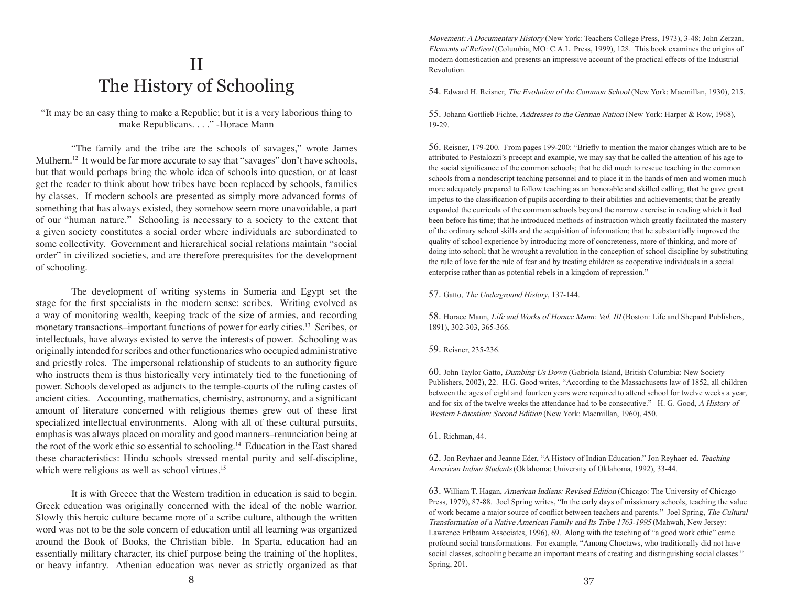## II The History of Schooling

"It may be an easy thing to make a Republic; but it is a very laborious thing to make Republicans. . . ." -Horace Mann

"The family and the tribe are the schools of savages," wrote James Mulhern.<sup>12</sup> It would be far more accurate to say that "savages" don't have schools, but that would perhaps bring the whole idea of schools into question, or at least get the reader to think about how tribes have been replaced by schools, families by classes. If modern schools are presented as simply more advanced forms of something that has always existed, they somehow seem more unavoidable, a part of our "human nature." Schooling is necessary to a society to the extent that a given society constitutes a social order where individuals are subordinated to some collectivity. Government and hierarchical social relations maintain "social order" in civilized societies, and are therefore prerequisites for the development of schooling.

The development of writing systems in Sumeria and Egypt set the stage for the first specialists in the modern sense: scribes. Writing evolved as a way of monitoring wealth, keeping track of the size of armies, and recording monetary transactions–important functions of power for early cities.<sup>13</sup> Scribes, or intellectuals, have always existed to serve the interests of power. Schooling was originally intended for scribes and other functionaries who occupied administrative and priestly roles. The impersonal relationship of students to an authority figure who instructs them is thus historically very intimately tied to the functioning of power. Schools developed as adjuncts to the temple-courts of the ruling castes of ancient cities. Accounting, mathematics, chemistry, astronomy, and a significant amount of literature concerned with religious themes grew out of these first specialized intellectual environments. Along with all of these cultural pursuits, emphasis was always placed on morality and good manners–renunciation being at the root of the work ethic so essential to schooling.<sup>14</sup> Education in the East shared these characteristics: Hindu schools stressed mental purity and self-discipline, which were religious as well as school virtues.<sup>15</sup>

It is with Greece that the Western tradition in education is said to begin. Greek education was originally concerned with the ideal of the noble warrior. Slowly this heroic culture became more of a scribe culture, although the written word was not to be the sole concern of education until all learning was organized around the Book of Books, the Christian bible. In Sparta, education had an essentially military character, its chief purpose being the training of the hoplites, or heavy infantry. Athenian education was never as strictly organized as that

Movement: A Documentary History (New York: Teachers College Press, 1973), 3-48; John Zerzan, Elements of Refusal (Columbia, MO: C.A.L. Press, 1999), 128. This book examines the origins of modern domestication and presents an impressive account of the practical effects of the Industrial Revolution.

54. Edward H. Reisner, *The Evolution of the Common School* (New York: Macmillan, 1930), 215.

55. Johann Gottlieb Fichte, Addresses to the German Nation (New York: Harper & Row, 1968), 19-29.

56. Reisner, 179-200. From pages 199-200: "Briefly to mention the major changes which are to be attributed to Pestalozzi's precept and example, we may say that he called the attention of his age to the social significance of the common schools; that he did much to rescue teaching in the common schools from a nondescript teaching personnel and to place it in the hands of men and women much more adequately prepared to follow teaching as an honorable and skilled calling; that he gave great impetus to the classification of pupils according to their abilities and achievements; that he greatly expanded the curricula of the common schools beyond the narrow exercise in reading which it had been before his time; that he introduced methods of instruction which greatly facilitated the mastery of the ordinary school skills and the acquisition of information; that he substantially improved the quality of school experience by introducing more of concreteness, more of thinking, and more of doing into school; that he wrought a revolution in the conception of school discipline by substituting the rule of love for the rule of fear and by treating children as cooperative individuals in a social enterprise rather than as potential rebels in a kingdom of repression."

57. Gatto, The Underground History, 137-144.

58. Horace Mann, Life and Works of Horace Mann: Vol. III (Boston: Life and Shepard Publishers, 1891), 302-303, 365-366.

#### 59. Reisner, 235-236.

60. John Taylor Gatto, Dumbing Us Down (Gabriola Island, British Columbia: New Society Publishers, 2002), 22. H.G. Good writes, "According to the Massachusetts law of 1852, all children between the ages of eight and fourteen years were required to attend school for twelve weeks a year, and for six of the twelve weeks the attendance had to be consecutive." H. G. Good, A History of Western Education: Second Edition (New York: Macmillan, 1960), 450.

61. Richman, 44.

62. Jon Reyhaer and Jeanne Eder, "A History of Indian Education." Jon Reyhaer ed. Teaching American Indian Students (Oklahoma: University of Oklahoma, 1992), 33-44.

63. William T. Hagan, American Indians: Revised Edition (Chicago: The University of Chicago Press, 1979), 87-88. Joel Spring writes, "In the early days of missionary schools, teaching the value of work became a major source of conflict between teachers and parents." Joel Spring, The Cultural Transformation of a Native American Family and Its Tribe 1763-1995 (Mahwah, New Jersey: Lawrence Erlbaum Associates, 1996), 69. Along with the teaching of "a good work ethic" came profound social transformations. For example, "Among Choctaws, who traditionally did not have social classes, schooling became an important means of creating and distinguishing social classes." Spring, 201.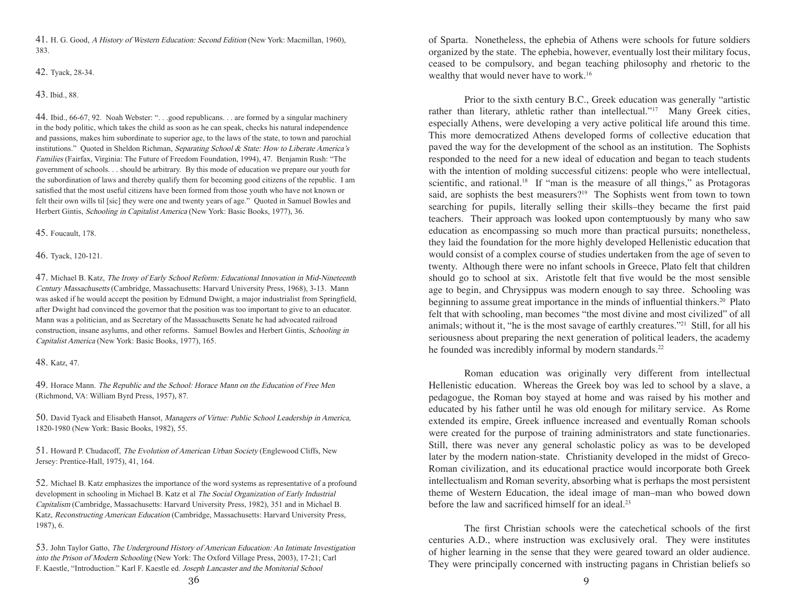41. H. G. Good, A History of Western Education: Second Edition (New York: Macmillan, 1960), 383.

42. Tyack, 28-34.

43. Ibid., 88.

44. Ibid., 66-67, 92. Noah Webster: ". . .good republicans. . . are formed by a singular machinery in the body politic, which takes the child as soon as he can speak, checks his natural independence and passions, makes him subordinate to superior age, to the laws of the state, to town and parochial institutions." Quoted in Sheldon Richman, Separating School & State: How to Liberate America's Families (Fairfax, Virginia: The Future of Freedom Foundation, 1994), 47. Benjamin Rush: "The government of schools. . . should be arbitrary. By this mode of education we prepare our youth for the subordination of laws and thereby qualify them for becoming good citizens of the republic. I am satisfied that the most useful citizens have been formed from those youth who have not known or felt their own wills til [sic] they were one and twenty years of age." Quoted in Samuel Bowles and Herbert Gintis, Schooling in Capitalist America (New York: Basic Books, 1977), 36.

45. Foucault, 178.

46. Tyack, 120-121.

47. Michael B. Katz, The Irony of Early School Reform: Educational Innovation in Mid-Nineteenth Century Massachusetts (Cambridge, Massachusetts: Harvard University Press, 1968), 3-13. Mann was asked if he would accept the position by Edmund Dwight, a major industrialist from Springfield, after Dwight had convinced the governor that the position was too important to give to an educator. Mann was a politician, and as Secretary of the Massachusetts Senate he had advocated railroad construction, insane asylums, and other reforms. Samuel Bowles and Herbert Gintis, Schooling in Capitalist America (New York: Basic Books, 1977), 165.

### 48. Katz, 47.

49. Horace Mann. The Republic and the School: Horace Mann on the Education of Free Men (Richmond, VA: William Byrd Press, 1957), 87.

50. David Tyack and Elisabeth Hansot, Managers of Virtue: Public School Leadership in America, 1820-1980 (New York: Basic Books, 1982), 55.

51. Howard P. Chudacoff, *The Evolution of American Urban Society* (Englewood Cliffs, New Jersey: Prentice-Hall, 1975), 41, 164.

52. Michael B. Katz emphasizes the importance of the word systems as representative of a profound development in schooling in Michael B. Katz et al The Social Organization of Early Industrial Capitalism (Cambridge, Massachusetts: Harvard University Press, 1982), 351 and in Michael B. Katz, Reconstructing American Education (Cambridge, Massachusetts: Harvard University Press, 1987), 6.

53. John Taylor Gatto, The Underground History of American Education: An Intimate Investigation into the Prison of Modern Schooling (New York: The Oxford Village Press, 2003), 17-21; Carl F. Kaestle, "Introduction." Karl F. Kaestle ed. Joseph Lancaster and the Monitorial School

of Sparta. Nonetheless, the ephebia of Athens were schools for future soldiers organized by the state. The ephebia, however, eventually lost their military focus, ceased to be compulsory, and began teaching philosophy and rhetoric to the wealthy that would never have to work.<sup>16</sup>

Prior to the sixth century B.C., Greek education was generally "artistic rather than literary, athletic rather than intellectual."<sup>17</sup> Many Greek cities, especially Athens, were developing a very active political life around this time. This more democratized Athens developed forms of collective education that paved the way for the development of the school as an institution. The Sophists responded to the need for a new ideal of education and began to teach students with the intention of molding successful citizens: people who were intellectual, scientific, and rational.<sup>18</sup> If "man is the measure of all things," as Protagoras said, are sophists the best measurers?<sup>19</sup> The Sophists went from town to town searching for pupils, literally selling their skills–they became the first paid teachers. Their approach was looked upon contemptuously by many who saw education as encompassing so much more than practical pursuits; nonetheless, they laid the foundation for the more highly developed Hellenistic education that would consist of a complex course of studies undertaken from the age of seven to twenty. Although there were no infant schools in Greece, Plato felt that children should go to school at six. Aristotle felt that five would be the most sensible age to begin, and Chrysippus was modern enough to say three. Schooling was beginning to assume great importance in the minds of influential thinkers.<sup>20</sup> Plato felt that with schooling, man becomes "the most divine and most civilized" of all animals; without it, "he is the most savage of earthly creatures."<sup>21</sup> Still, for all his seriousness about preparing the next generation of political leaders, the academy he founded was incredibly informal by modern standards.<sup>22</sup>

Roman education was originally very different from intellectual Hellenistic education. Whereas the Greek boy was led to school by a slave, a pedagogue, the Roman boy stayed at home and was raised by his mother and educated by his father until he was old enough for military service. As Rome extended its empire, Greek influence increased and eventually Roman schools were created for the purpose of training administrators and state functionaries. Still, there was never any general scholastic policy as was to be developed later by the modern nation-state. Christianity developed in the midst of Greco-Roman civilization, and its educational practice would incorporate both Greek intellectualism and Roman severity, absorbing what is perhaps the most persistent theme of Western Education, the ideal image of man–man who bowed down before the law and sacrificed himself for an ideal.<sup>23</sup>

The first Christian schools were the catechetical schools of the first centuries A.D., where instruction was exclusively oral. They were institutes of higher learning in the sense that they were geared toward an older audience. They were principally concerned with instructing pagans in Christian beliefs so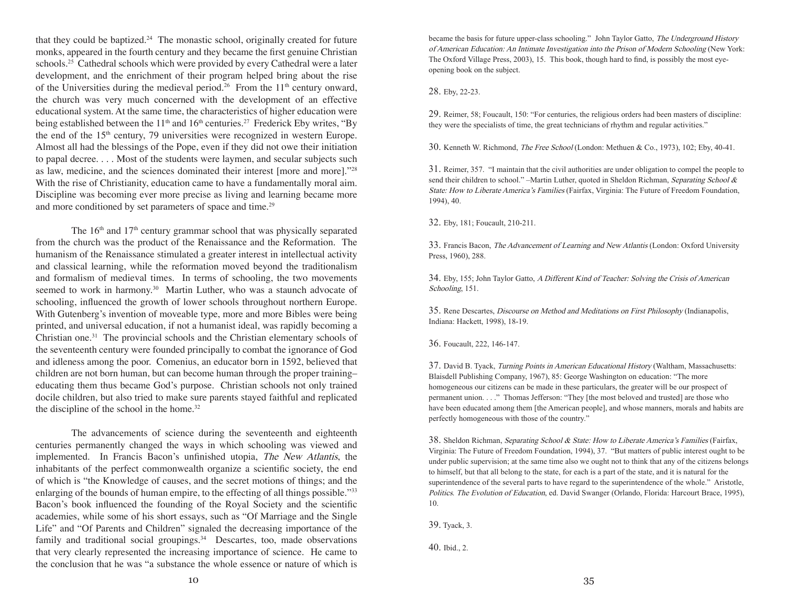that they could be baptized.<sup>24</sup> The monastic school, originally created for future monks, appeared in the fourth century and they became the first genuine Christian schools.<sup>25</sup> Cathedral schools which were provided by every Cathedral were a later development, and the enrichment of their program helped bring about the rise of the Universities during the medieval period.<sup>26</sup> From the  $11<sup>th</sup>$  century onward, the church was very much concerned with the development of an effective educational system. At the same time, the characteristics of higher education were being established between the  $11<sup>th</sup>$  and  $16<sup>th</sup>$  centuries.<sup>27</sup> Frederick Eby writes, "By the end of the  $15<sup>th</sup>$  century, 79 universities were recognized in western Europe. Almost all had the blessings of the Pope, even if they did not owe their initiation to papal decree. . . . Most of the students were laymen, and secular subjects such as law, medicine, and the sciences dominated their interest [more and more]."<sup>28</sup> With the rise of Christianity, education came to have a fundamentally moral aim. Discipline was becoming ever more precise as living and learning became more and more conditioned by set parameters of space and time.<sup>29</sup>

The  $16<sup>th</sup>$  and  $17<sup>th</sup>$  century grammar school that was physically separated from the church was the product of the Renaissance and the Reformation. The humanism of the Renaissance stimulated a greater interest in intellectual activity and classical learning, while the reformation moved beyond the traditionalism and formalism of medieval times. In terms of schooling, the two movements seemed to work in harmony.<sup>30</sup> Martin Luther, who was a staunch advocate of schooling, influenced the growth of lower schools throughout northern Europe. With Gutenberg's invention of moveable type, more and more Bibles were being printed, and universal education, if not a humanist ideal, was rapidly becoming a Christian one.<sup>31</sup> The provincial schools and the Christian elementary schools of the seventeenth century were founded principally to combat the ignorance of God and idleness among the poor. Comenius, an educator born in 1592, believed that children are not born human, but can become human through the proper training– educating them thus became God's purpose. Christian schools not only trained docile children, but also tried to make sure parents stayed faithful and replicated the discipline of the school in the home.<sup>32</sup>

The advancements of science during the seventeenth and eighteenth centuries permanently changed the ways in which schooling was viewed and implemented. In Francis Bacon's unfinished utopia, The New Atlantis, the inhabitants of the perfect commonwealth organize a scientific society, the end of which is "the Knowledge of causes, and the secret motions of things; and the enlarging of the bounds of human empire, to the effecting of all things possible."<sup>33</sup> Bacon's book influenced the founding of the Royal Society and the scientific academies, while some of his short essays, such as "Of Marriage and the Single Life" and "Of Parents and Children" signaled the decreasing importance of the family and traditional social groupings. $34$  Descartes, too, made observations that very clearly represented the increasing importance of science. He came to the conclusion that he was "a substance the whole essence or nature of which is

became the basis for future upper-class schooling." John Taylor Gatto, The Underground History of American Education: An Intimate Investigation into the Prison of Modern Schooling (New York: The Oxford Village Press, 2003), 15. This book, though hard to find, is possibly the most eyeopening book on the subject.

28. Eby, 22-23.

29. Reimer, 58; Foucault, 150: "For centuries, the religious orders had been masters of discipline: they were the specialists of time, the great technicians of rhythm and regular activities."

30. Kenneth W. Richmond, The Free School (London: Methuen & Co., 1973), 102; Eby, 40-41.

31. Reimer, 357. "I maintain that the civil authorities are under obligation to compel the people to send their children to school." –Martin Luther, quoted in Sheldon Richman, Separating School  $\&$ State: How to Liberate America's Families (Fairfax, Virginia: The Future of Freedom Foundation, 1994), 40.

32. Eby, 181; Foucault, 210-211.

33. Francis Bacon, The Advancement of Learning and New Atlantis (London: Oxford University Press, 1960), 288.

34. Eby, 155; John Taylor Gatto, A Different Kind of Teacher: Solving the Crisis of American Schooling, 151.

35. Rene Descartes, Discourse on Method and Meditations on First Philosophy (Indianapolis, Indiana: Hackett, 1998), 18-19.

36. Foucault, 222, 146-147.

37. David B. Tyack, Turning Points in American Educational History (Waltham, Massachusetts: Blaisdell Publishing Company, 1967), 85: George Washington on education: "The more homogeneous our citizens can be made in these particulars, the greater will be our prospect of permanent union. . . ." Thomas Jefferson: "They [the most beloved and trusted] are those who have been educated among them [the American people], and whose manners, morals and habits are perfectly homogeneous with those of the country."

38. Sheldon Richman, Separating School & State: How to Liberate America's Families (Fairfax, Virginia: The Future of Freedom Foundation, 1994), 37. "But matters of public interest ought to be under public supervision; at the same time also we ought not to think that any of the citizens belongs to himself, but that all belong to the state, for each is a part of the state, and it is natural for the superintendence of the several parts to have regard to the superintendence of the whole." Aristotle, Politics. The Evolution of Education, ed. David Swanger (Orlando, Florida: Harcourt Brace, 1995), 10.

39. Tyack, 3.

40. Ibid., 2.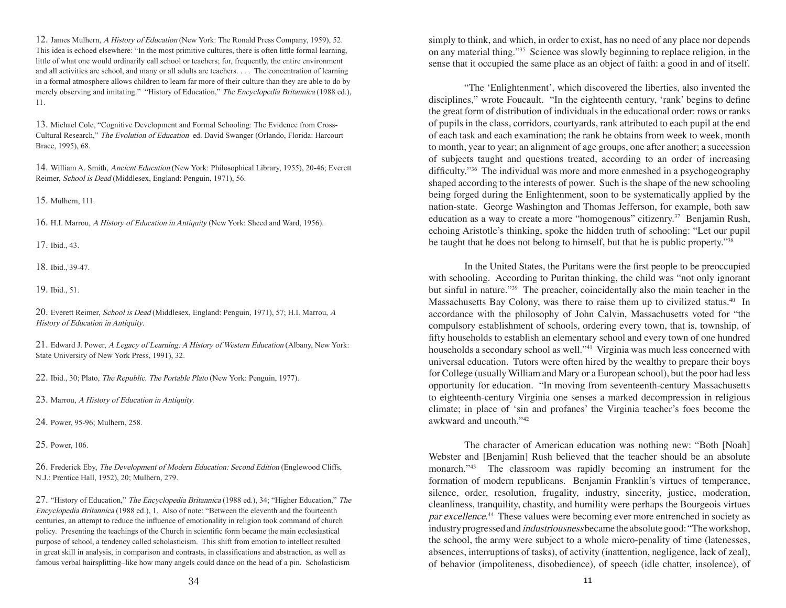12. James Mulhern, A History of Education (New York: The Ronald Press Company, 1959), 52. This idea is echoed elsewhere: "In the most primitive cultures, there is often little formal learning, little of what one would ordinarily call school or teachers; for, frequently, the entire environment and all activities are school, and many or all adults are teachers. . . . The concentration of learning in a formal atmosphere allows children to learn far more of their culture than they are able to do by merely observing and imitating." "History of Education," The Encyclopedia Britannica (1988 ed.), 11.

13. Michael Cole, "Cognitive Development and Formal Schooling: The Evidence from Cross-Cultural Research," The Evolution of Education ed. David Swanger (Orlando, Florida: Harcourt Brace, 1995), 68.

14. William A. Smith, Ancient Education (New York: Philosophical Library, 1955), 20-46; Everett Reimer, School is Dead (Middlesex, England: Penguin, 1971), 56.

15. Mulhern, 111.

16. H.I. Marrou, A History of Education in Antiquity (New York: Sheed and Ward, 1956).

17. Ibid., 43.

18. Ibid., 39-47.

19. Ibid., 51.

20. Everett Reimer, School is Dead (Middlesex, England: Penguin, 1971), 57; H.I. Marrou, <sup>A</sup> History of Education in Antiquity.

21. Edward J. Power, A Legacy of Learning: A History of Western Education (Albany, New York: State University of New York Press, 1991), 32.

22. Ibid., 30; Plato, *The Republic. The Portable Plato* (New York: Penguin, 1977).

23. Marrou, A History of Education in Antiquity.

24. Power, 95-96; Mulhern, 258.

25. Power, 106.

26. Frederick Eby, The Development of Modern Education: Second Edition (Englewood Cliffs, N.J.: Prentice Hall, 1952), 20; Mulhern, 279.

27. "History of Education," The Encyclopedia Britannica (1988 ed.), 34; "Higher Education," The Encyclopedia Britannica (1988 ed.), 1. Also of note: "Between the eleventh and the fourteenth centuries, an attempt to reduce the influence of emotionality in religion took command of church policy. Presenting the teachings of the Church in scientific form became the main ecclesiastical purpose of school, a tendency called scholasticism. This shift from emotion to intellect resulted in great skill in analysis, in comparison and contrasts, in classifications and abstraction, as well as famous verbal hairsplitting–like how many angels could dance on the head of a pin. Scholasticism

simply to think, and which, in order to exist, has no need of any place nor depends on any material thing."<sup>35</sup> Science was slowly beginning to replace religion, in the sense that it occupied the same place as an object of faith: a good in and of itself.

"The 'Enlightenment', which discovered the liberties, also invented the disciplines," wrote Foucault. "In the eighteenth century, 'rank' begins to define the great form of distribution of individuals in the educational order: rows or ranks of pupils in the class, corridors, courtyards, rank attributed to each pupil at the end of each task and each examination; the rank he obtains from week to week, month to month, year to year; an alignment of age groups, one after another; a succession of subjects taught and questions treated, according to an order of increasing difficulty."<sup>36</sup> The individual was more and more enmeshed in a psychogeography shaped according to the interests of power. Such is the shape of the new schooling being forged during the Enlightenment, soon to be systematically applied by the nation-state. George Washington and Thomas Jefferson, for example, both saw education as a way to create a more "homogenous" citizenry.<sup>37</sup> Benjamin Rush, echoing Aristotle's thinking, spoke the hidden truth of schooling: "Let our pupil be taught that he does not belong to himself, but that he is public property."<sup>38</sup>

In the United States, the Puritans were the first people to be preoccupied with schooling. According to Puritan thinking, the child was "not only ignorant but sinful in nature."<sup>39</sup> The preacher, coincidentally also the main teacher in the Massachusetts Bay Colony, was there to raise them up to civilized status.<sup>40</sup> In accordance with the philosophy of John Calvin, Massachusetts voted for "the compulsory establishment of schools, ordering every town, that is, township, of fifty households to establish an elementary school and every town of one hundred households a secondary school as well."<sup>41</sup> Virginia was much less concerned with universal education. Tutors were often hired by the wealthy to prepare their boys for College (usually William and Mary or a European school), but the poor had less opportunity for education. "In moving from seventeenth-century Massachusetts to eighteenth-century Virginia one senses a marked decompression in religious climate; in place of 'sin and profanes' the Virginia teacher's foes become the awkward and uncouth."<sup>42</sup>

The character of American education was nothing new: "Both [Noah] Webster and [Benjamin] Rush believed that the teacher should be an absolute monarch."<sup>43</sup> The classroom was rapidly becoming an instrument for the formation of modern republicans. Benjamin Franklin's virtues of temperance, silence, order, resolution, frugality, industry, sincerity, justice, moderation, cleanliness, tranquility, chastity, and humility were perhaps the Bourgeois virtues par excellence. <sup>44</sup> These values were becoming ever more entrenched in society as industry progressed and industriousness became the absolute good: "The workshop, the school, the army were subject to a whole micro-penality of time (latenesses, absences, interruptions of tasks), of activity (inattention, negligence, lack of zeal), of behavior (impoliteness, disobedience), of speech (idle chatter, insolence), of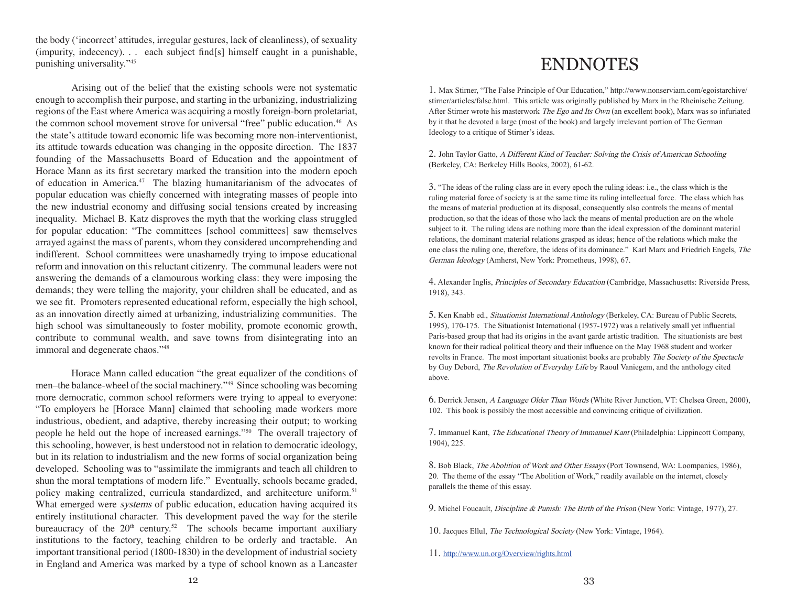the body ('incorrect' attitudes, irregular gestures, lack of cleanliness), of sexuality (impurity, indecency). . . each subject find[s] himself caught in a punishable, punishing universality."<sup>45</sup>

Arising out of the belief that the existing schools were not systematic enough to accomplish their purpose, and starting in the urbanizing, industrializing regions of the East where America was acquiring a mostly foreign-born proletariat, the common school movement strove for universal "free" public education.<sup>46</sup> As the state's attitude toward economic life was becoming more non-interventionist, its attitude towards education was changing in the opposite direction. The 1837 founding of the Massachusetts Board of Education and the appointment of Horace Mann as its first secretary marked the transition into the modern epoch of education in America.<sup>47</sup> The blazing humanitarianism of the advocates of popular education was chiefly concerned with integrating masses of people into the new industrial economy and diffusing social tensions created by increasing inequality. Michael B. Katz disproves the myth that the working class struggled for popular education: "The committees [school committees] saw themselves arrayed against the mass of parents, whom they considered uncomprehending and indifferent. School committees were unashamedly trying to impose educational reform and innovation on this reluctant citizenry. The communal leaders were not answering the demands of a clamourous working class: they were imposing the demands; they were telling the majority, your children shall be educated, and as we see fit. Promoters represented educational reform, especially the high school, as an innovation directly aimed at urbanizing, industrializing communities. The high school was simultaneously to foster mobility, promote economic growth, contribute to communal wealth, and save towns from disintegrating into an immoral and degenerate chaos."<sup>48</sup>

Horace Mann called education "the great equalizer of the conditions of men–the balance-wheel of the social machinery."<sup>49</sup> Since schooling was becoming more democratic, common school reformers were trying to appeal to everyone: "To employers he [Horace Mann] claimed that schooling made workers more industrious, obedient, and adaptive, thereby increasing their output; to working people he held out the hope of increased earnings."<sup>50</sup> The overall trajectory of this schooling, however, is best understood not in relation to democratic ideology, but in its relation to industrialism and the new forms of social organization being developed. Schooling was to "assimilate the immigrants and teach all children to shun the moral temptations of modern life." Eventually, schools became graded, policy making centralized, curricula standardized, and architecture uniform.<sup>51</sup> What emerged were *systems* of public education, education having acquired its entirely institutional character. This development paved the way for the sterile bureaucracy of the  $20<sup>th</sup>$  century.<sup>52</sup> The schools became important auxiliary institutions to the factory, teaching children to be orderly and tractable. An important transitional period (1800-1830) in the development of industrial society in England and America was marked by a type of school known as a Lancaster

## ENDNOTES

1. Max Stirner, "The False Principle of Our Education," http://www.nonserviam.com/egoistarchive/ stirner/articles/false.html. This article was originally published by Marx in the Rheinische Zeitung. After Stirner wrote his masterwork *The Ego and Its Own* (an excellent book), Marx was so infuriated by it that he devoted a large (most of the book) and largely irrelevant portion of The German Ideology to a critique of Stirner's ideas.

2. John Taylor Gatto, A Different Kind of Teacher: Solving the Crisis of American Schooling (Berkeley, CA: Berkeley Hills Books, 2002), 61-62.

3. "The ideas of the ruling class are in every epoch the ruling ideas: i.e., the class which is the ruling material force of society is at the same time its ruling intellectual force. The class which has the means of material production at its disposal, consequently also controls the means of mental production, so that the ideas of those who lack the means of mental production are on the whole subject to it. The ruling ideas are nothing more than the ideal expression of the dominant material relations, the dominant material relations grasped as ideas; hence of the relations which make the one class the ruling one, therefore, the ideas of its dominance." Karl Marx and Friedrich Engels, The German Ideology (Amherst, New York: Prometheus, 1998), 67.

4. Alexander Inglis, Principles of Secondary Education (Cambridge, Massachusetts: Riverside Press, 1918), 343.

5. Ken Knabb ed., Situationist International Anthology (Berkeley, CA: Bureau of Public Secrets, 1995), 170-175. The Situationist International (1957-1972) was a relatively small yet influential Paris-based group that had its origins in the avant garde artistic tradition. The situationists are best known for their radical political theory and their influence on the May 1968 student and worker revolts in France. The most important situationist books are probably The Society of the Spectacle by Guy Debord, The Revolution of Everyday Life by Raoul Vaniegem, and the anthology cited above.

6. Derrick Jensen, A Language Older Than Words (White River Junction, VT: Chelsea Green, 2000), 102. This book is possibly the most accessible and convincing critique of civilization.

7. Immanuel Kant, The Educational Theory of Immanuel Kant (Philadelphia: Lippincott Company, 1904), 225.

8. Bob Black, The Abolition of Work and Other Essays (Port Townsend, WA: Loompanics, 1986), 20. The theme of the essay "The Abolition of Work," readily available on the internet, closely parallels the theme of this essay.

9. Michel Foucault, Discipline & Punish: The Birth of the Prison (New York: Vintage, 1977), 27.

10. Jacques Ellul, The Technological Society (New York: Vintage, 1964).

11. http://www.un.org/Overview/rights.html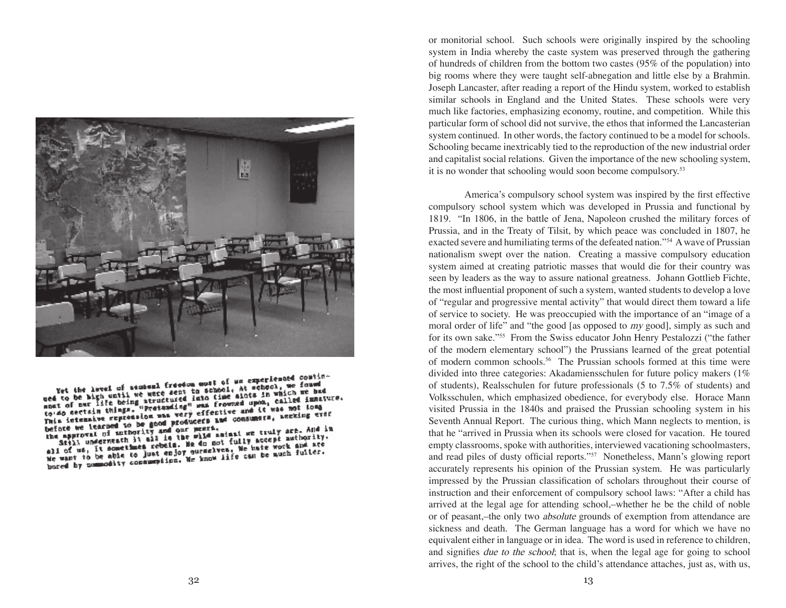

Yet the level of semangl freedom most of us experienced contin-<br>Yet the level of semangle freedom a school, at school, we found Yet the level of sammen freedom most of we experiences. we found<br>we to be high until we were sent to school, he school, we found<br>we to be high until we were sent to school, alled image Yet the level of semanal freedom must be school, he school, we soumed<br>used to be high until we were sent to school, he school, he had bud<br>most of nur life being structured into the dints in which immature.<br>to sectain this nost of mur life being streamding" was frowned upon, called tong<br>to do certain things. The was very effective and it was not tong<br>This intensive repression was very effective and it was not tong<br>This intensive to be good p to do certain things. "From what wery effective and it was not been<br>This intensive repression was very effective and consumers, accking erer<br>before we learned to be good producers and consumers, accurate. And in

before we learned to be good provincents. ore we learned to be good pour peers.<br>I approval of authority and our peers.<br>Still undegenative action rebels. He do not fully accept authority. the approval of authority are of the wild animal we truly are the still understanding it all it wild animal we have the work and are<br>all of us, it somethers rebein. He do not fully accept and are<br>all of us, it somethers we Still undermeathers rebeis. He do not fully accept make are<br>all of us, it somethers rebels. He do not fully accept mork and are<br>we want to be able to just enjoy ourselves, We have the such fuller. all of us, it somethnes reversion ourselves, We have work and the<br>We want to be able to just enjoy ourselves, We have such fuller.<br>bored by commodity consumption, We know life can be much fuller.

or monitorial school. Such schools were originally inspired by the schooling system in India whereby the caste system was preserved through the gathering of hundreds of children from the bottom two castes (95% of the population) into big rooms where they were taught self-abnegation and little else by a Brahmin. Joseph Lancaster, after reading a report of the Hindu system, worked to establish similar schools in England and the United States. These schools were very much like factories, emphasizing economy, routine, and competition. While this particular form of school did not survive, the ethos that informed the Lancasterian system continued. In other words, the factory continued to be a model for schools. Schooling became inextricably tied to the reproduction of the new industrial order and capitalist social relations. Given the importance of the new schooling system, it is no wonder that schooling would soon become compulsory.<sup>53</sup>

America's compulsory school system was inspired by the first effective compulsory school system which was developed in Prussia and functional by 1819. "In 1806, in the battle of Jena, Napoleon crushed the military forces of Prussia, and in the Treaty of Tilsit, by which peace was concluded in 1807, he exacted severe and humiliating terms of the defeated nation."<sup>54</sup> A wave of Prussian nationalism swept over the nation. Creating a massive compulsory education system aimed at creating patriotic masses that would die for their country was seen by leaders as the way to assure national greatness. Johann Gottlieb Fichte, the most influential proponent of such a system, wanted students to develop a love of "regular and progressive mental activity" that would direct them toward a life of service to society. He was preoccupied with the importance of an "image of a moral order of life" and "the good [as opposed to my good], simply as such and for its own sake."<sup>55</sup> From the Swiss educator John Henry Pestalozzi ("the father of the modern elementary school") the Prussians learned of the great potential of modern common schools.<sup>56</sup> The Prussian schools formed at this time were divided into three categories: Akadamiensschulen for future policy makers (1% of students), Realsschulen for future professionals (5 to 7.5% of students) and Volksschulen, which emphasized obedience, for everybody else. Horace Mann visited Prussia in the 1840s and praised the Prussian schooling system in his Seventh Annual Report. The curious thing, which Mann neglects to mention, is that he "arrived in Prussia when its schools were closed for vacation. He toured empty classrooms, spoke with authorities, interviewed vacationing schoolmasters, and read piles of dusty official reports."<sup>57</sup> Nonetheless, Mann's glowing report accurately represents his opinion of the Prussian system. He was particularly impressed by the Prussian classification of scholars throughout their course of instruction and their enforcement of compulsory school laws: "After a child has arrived at the legal age for attending school,–whether he be the child of noble or of peasant,–the only two absolute grounds of exemption from attendance are sickness and death. The German language has a word for which we have no equivalent either in language or in idea. The word is used in reference to children, and signifies due to the school; that is, when the legal age for going to school arrives, the right of the school to the child's attendance attaches, just as, with us,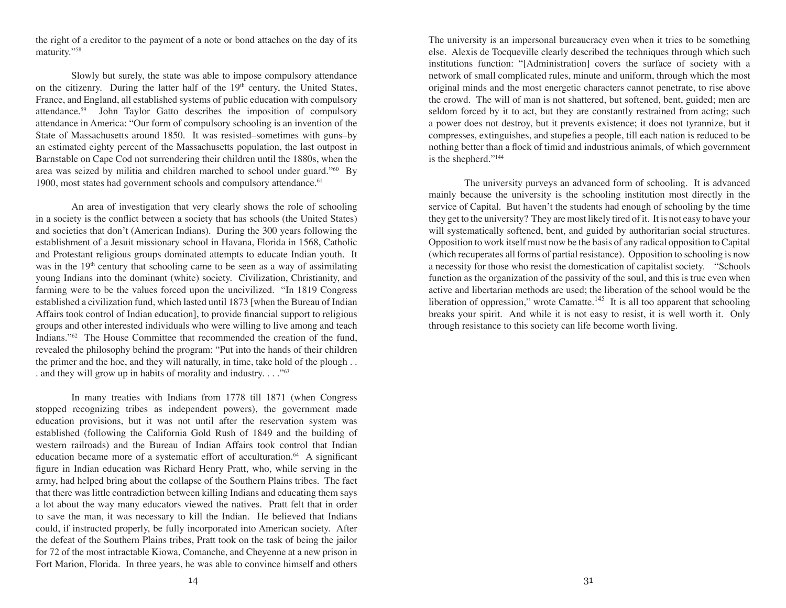the right of a creditor to the payment of a note or bond attaches on the day of its maturity."<sup>58</sup>

Slowly but surely, the state was able to impose compulsory attendance on the citizenry. During the latter half of the  $19<sup>th</sup>$  century, the United States, France, and England, all established systems of public education with compulsory attendance.<sup>59</sup> John Taylor Gatto describes the imposition of compulsory attendance in America: "Our form of compulsory schooling is an invention of the State of Massachusetts around 1850. It was resisted–sometimes with guns–by an estimated eighty percent of the Massachusetts population, the last outpost in Barnstable on Cape Cod not surrendering their children until the 1880s, when the area was seized by militia and children marched to school under guard."<sup>60</sup> By 1900, most states had government schools and compulsory attendance.<sup>61</sup>

An area of investigation that very clearly shows the role of schooling in a society is the conflict between a society that has schools (the United States) and societies that don't (American Indians). During the 300 years following the establishment of a Jesuit missionary school in Havana, Florida in 1568, Catholic and Protestant religious groups dominated attempts to educate Indian youth. It was in the  $19<sup>th</sup>$  century that schooling came to be seen as a way of assimilating young Indians into the dominant (white) society. Civilization, Christianity, and farming were to be the values forced upon the uncivilized. "In 1819 Congress established a civilization fund, which lasted until 1873 [when the Bureau of Indian Affairs took control of Indian education], to provide financial support to religious groups and other interested individuals who were willing to live among and teach Indians."<sup>62</sup> The House Committee that recommended the creation of the fund, revealed the philosophy behind the program: "Put into the hands of their children the primer and the hoe, and they will naturally, in time, take hold of the plough . . . and they will grow up in habits of morality and industry.  $\ldots$ <sup>563</sup>

In many treaties with Indians from 1778 till 1871 (when Congress stopped recognizing tribes as independent powers), the government made education provisions, but it was not until after the reservation system was established (following the California Gold Rush of 1849 and the building of western railroads) and the Bureau of Indian Affairs took control that Indian education became more of a systematic effort of acculturation.<sup>64</sup> A significant figure in Indian education was Richard Henry Pratt, who, while serving in the army, had helped bring about the collapse of the Southern Plains tribes. The fact that there was little contradiction between killing Indians and educating them says a lot about the way many educators viewed the natives. Pratt felt that in order to save the man, it was necessary to kill the Indian. He believed that Indians could, if instructed properly, be fully incorporated into American society. After the defeat of the Southern Plains tribes, Pratt took on the task of being the jailor for 72 of the most intractable Kiowa, Comanche, and Cheyenne at a new prison in Fort Marion, Florida. In three years, he was able to convince himself and others The university is an impersonal bureaucracy even when it tries to be something else. Alexis de Tocqueville clearly described the techniques through which such institutions function: "[Administration] covers the surface of society with a network of small complicated rules, minute and uniform, through which the most original minds and the most energetic characters cannot penetrate, to rise above the crowd. The will of man is not shattered, but softened, bent, guided; men are seldom forced by it to act, but they are constantly restrained from acting; such a power does not destroy, but it prevents existence; it does not tyrannize, but it compresses, extinguishes, and stupefies a people, till each nation is reduced to be nothing better than a flock of timid and industrious animals, of which government is the shepherd."<sup>144</sup>

The university purveys an advanced form of schooling. It is advanced mainly because the university is the schooling institution most directly in the service of Capital. But haven't the students had enough of schooling by the time they get to the university? They are most likely tired of it. It is not easy to have your will systematically softened, bent, and guided by authoritarian social structures. Opposition to work itself must now be the basis of any radical opposition to Capital (which recuperates all forms of partial resistance). Opposition to schooling is now a necessity for those who resist the domestication of capitalist society. "Schools function as the organization of the passivity of the soul, and this is true even when active and libertarian methods are used; the liberation of the school would be the liberation of oppression," wrote Camatte.<sup>145</sup> It is all too apparent that schooling breaks your spirit. And while it is not easy to resist, it is well worth it. Only through resistance to this society can life become worth living.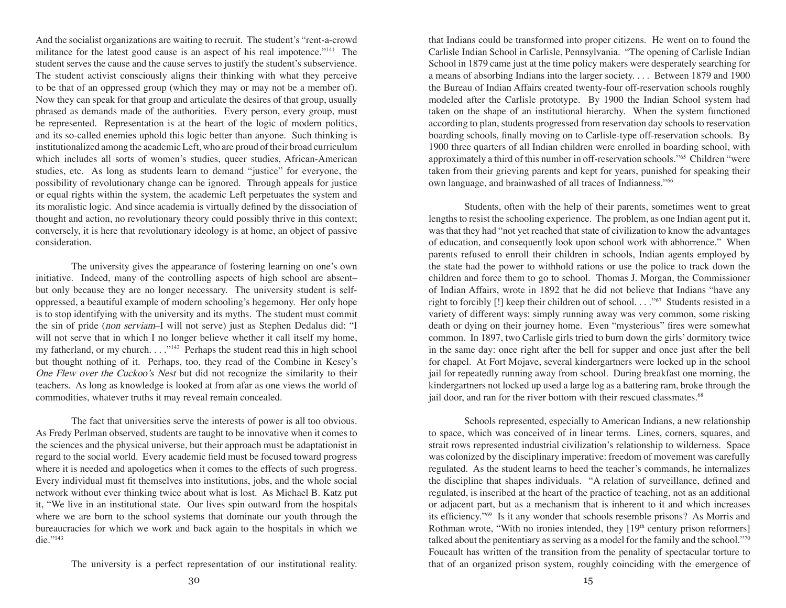And the socialist organizations are waiting to recruit. The student's "rent-a-crowd militance for the latest good cause is an aspect of his real impotence."<sup>141</sup> The student serves the cause and the cause serves to justify the student's subservience. The student activist consciously aligns their thinking with what they perceive to be that of an oppressed group (which they may or may not be a member of). Now they can speak for that group and articulate the desires of that group, usually phrased as demands made of the authorities. Every person, every group, must be represented. Representation is at the heart of the logic of modern politics, and its so-called enemies uphold this logic better than anyone. Such thinking is institutionalized among the academic Left, who are proud of their broad curriculum which includes all sorts of women's studies, queer studies, African-American studies, etc. As long as students learn to demand "justice" for everyone, the possibility of revolutionary change can be ignored. Through appeals for justice or equal rights within the system, the academic Left perpetuates the system and its moralistic logic. And since academia is virtually defined by the dissociation of thought and action, no revolutionary theory could possibly thrive in this context; conversely, it is here that revolutionary ideology is at home, an object of passive consideration.

The university gives the appearance of fostering learning on one's own initiative. Indeed, many of the controlling aspects of high school are absent– but only because they are no longer necessary. The university student is selfoppressed, a beautiful example of modern schooling's hegemony. Her only hope is to stop identifying with the university and its myths. The student must commit the sin of pride (non serviam–I will not serve) just as Stephen Dedalus did: "I will not serve that in which I no longer believe whether it call itself my home, my fatherland, or my church. . . ."<sup>142</sup> Perhaps the student read this in high school but thought nothing of it. Perhaps, too, they read of the Combine in Kesey's One Flew over the Cuckoo's Nest but did not recognize the similarity to their teachers. As long as knowledge is looked at from afar as one views the world of commodities, whatever truths it may reveal remain concealed.

The fact that universities serve the interests of power is all too obvious. As Fredy Perlman observed, students are taught to be innovative when it comes to the sciences and the physical universe, but their approach must be adaptationist in regard to the social world. Every academic field must be focused toward progress where it is needed and apologetics when it comes to the effects of such progress. Every individual must fit themselves into institutions, jobs, and the whole social network without ever thinking twice about what is lost. As Michael B. Katz put it, "We live in an institutional state. Our lives spin outward from the hospitals where we are born to the school systems that dominate our youth through the bureaucracies for which we work and back again to the hospitals in which we die."<sup>143</sup>

The university is a perfect representation of our institutional reality.

that Indians could be transformed into proper citizens. He went on to found the Carlisle Indian School in Carlisle, Pennsylvania. "The opening of Carlisle Indian School in 1879 came just at the time policy makers were desperately searching for a means of absorbing Indians into the larger society. . . . Between 1879 and 1900 the Bureau of Indian Affairs created twenty-four off-reservation schools roughly modeled after the Carlisle prototype. By 1900 the Indian School system had taken on the shape of an institutional hierarchy. When the system functioned according to plan, students progressed from reservation day schools to reservation boarding schools, finally moving on to Carlisle-type off-reservation schools. By 1900 three quarters of all Indian children were enrolled in boarding school, with approximately a third of this number in off-reservation schools."<sup>65</sup> Children "were taken from their grieving parents and kept for years, punished for speaking their own language, and brainwashed of all traces of Indianness."<sup>66</sup>

Students, often with the help of their parents, sometimes went to great lengths to resist the schooling experience. The problem, as one Indian agent put it, was that they had "not yet reached that state of civilization to know the advantages of education, and consequently look upon school work with abhorrence." When parents refused to enroll their children in schools, Indian agents employed by the state had the power to withhold rations or use the police to track down the children and force them to go to school. Thomas J. Morgan, the Commissioner of Indian Affairs, wrote in 1892 that he did not believe that Indians "have any right to forcibly [!] keep their children out of school. . . ."<sup>67</sup> Students resisted in a variety of different ways: simply running away was very common, some risking death or dying on their journey home. Even "mysterious" fires were somewhat common. In 1897, two Carlisle girls tried to burn down the girls' dormitory twice in the same day: once right after the bell for supper and once just after the bell for chapel. At Fort Mojave, several kindergartners were locked up in the school jail for repeatedly running away from school. During breakfast one morning, the kindergartners not locked up used a large log as a battering ram, broke through the jail door, and ran for the river bottom with their rescued classmates.<sup>68</sup>

Schools represented, especially to American Indians, a new relationship to space, which was conceived of in linear terms. Lines, corners, squares, and strait rows represented industrial civilization's relationship to wilderness. Space was colonized by the disciplinary imperative: freedom of movement was carefully regulated. As the student learns to heed the teacher's commands, he internalizes the discipline that shapes individuals. "A relation of surveillance, defined and regulated, is inscribed at the heart of the practice of teaching, not as an additional or adjacent part, but as a mechanism that is inherent to it and which increases its efficiency."<sup>69</sup> Is it any wonder that schools resemble prisons? As Morris and Rothman wrote, "With no ironies intended, they [19<sup>th</sup> century prison reformers] talked about the penitentiary as serving as a model for the family and the school."<sup>70</sup> Foucault has written of the transition from the penality of spectacular torture to that of an organized prison system, roughly coinciding with the emergence of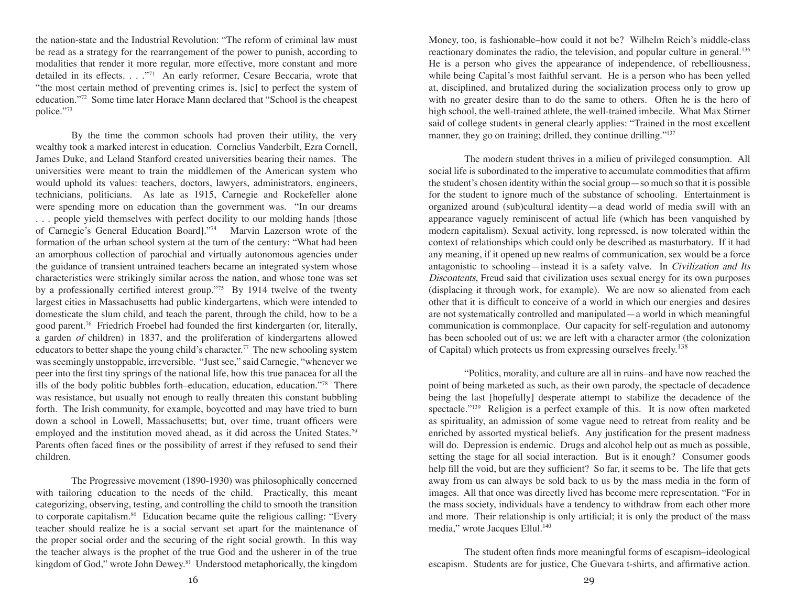the nation-state and the Industrial Revolution: "The reform of criminal law must be read as a strategy for the rearrangement of the power to punish, according to modalities that render it more regular, more effective, more constant and more detailed in its effects. . . ."<sup>71</sup> An early reformer, Cesare Beccaria, wrote that "the most certain method of preventing crimes is, [sic] to perfect the system of education."<sup>72</sup> Some time later Horace Mann declared that "School is the cheapest police."<sup>73</sup>

By the time the common schools had proven their utility, the very wealthy took a marked interest in education. Cornelius Vanderbilt, Ezra Cornell, James Duke, and Leland Stanford created universities bearing their names. The universities were meant to train the middlemen of the American system who would uphold its values: teachers, doctors, lawyers, administrators, engineers, technicians, politicians. As late as 1915, Carnegie and Rockefeller alone were spending more on education than the government was. "In our dreams . . . people yield themselves with perfect docility to our molding hands [those of Carnegie's General Education Board]."<sup>74</sup> Marvin Lazerson wrote of the formation of the urban school system at the turn of the century: "What had been an amorphous collection of parochial and virtually autonomous agencies under the guidance of transient untrained teachers became an integrated system whose characteristics were strikingly similar across the nation, and whose tone was set by a professionally certified interest group."<sup>75</sup> By 1914 twelve of the twenty largest cities in Massachusetts had public kindergartens, which were intended to domesticate the slum child, and teach the parent, through the child, how to be a good parent.<sup>76</sup> Friedrich Froebel had founded the first kindergarten (or, literally, a garden of children) in 1837, and the proliferation of kindergartens allowed educators to better shape the young child's character.<sup>77</sup> The new schooling system was seemingly unstoppable, irreversible. "Just see," said Carnegie, "whenever we peer into the first tiny springs of the national life, how this true panacea for all the ills of the body politic bubbles forth–education, education, education."<sup>78</sup> There was resistance, but usually not enough to really threaten this constant bubbling forth. The Irish community, for example, boycotted and may have tried to burn down a school in Lowell, Massachusetts; but, over time, truant officers were employed and the institution moved ahead, as it did across the United States.<sup>79</sup> Parents often faced fines or the possibility of arrest if they refused to send their children.

The Progressive movement (1890-1930) was philosophically concerned with tailoring education to the needs of the child. Practically, this meant categorizing, observing, testing, and controlling the child to smooth the transition to corporate capitalism.<sup>80</sup> Education became quite the religious calling: "Every teacher should realize he is a social servant set apart for the maintenance of the proper social order and the securing of the right social growth. In this way the teacher always is the prophet of the true God and the usherer in of the true kingdom of God," wrote John Dewey.<sup>81</sup> Understood metaphorically, the kingdom Money, too, is fashionable–how could it not be? Wilhelm Reich's middle-class reactionary dominates the radio, the television, and popular culture in general.<sup>136</sup> He is a person who gives the appearance of independence, of rebelliousness, while being Capital's most faithful servant. He is a person who has been yelled at, disciplined, and brutalized during the socialization process only to grow up with no greater desire than to do the same to others. Often he is the hero of high school, the well-trained athlete, the well-trained imbecile. What Max Stirner said of college students in general clearly applies: "Trained in the most excellent manner, they go on training; drilled, they continue drilling."<sup>137</sup>

The modern student thrives in a milieu of privileged consumption. All social life is subordinated to the imperative to accumulate commodities that affirm the student's chosen identity within the social group—so much so that it is possible for the student to ignore much of the substance of schooling. Entertainment is organized around (sub)cultural identity—a dead world of media swill with an appearance vaguely reminiscent of actual life (which has been vanquished by modern capitalism). Sexual activity, long repressed, is now tolerated within the context of relationships which could only be described as masturbatory. If it had any meaning, if it opened up new realms of communication, sex would be a force antagonistic to schooling—instead it is a safety valve. In Civilization and Its Discontents, Freud said that civilization uses sexual energy for its own purposes (displacing it through work, for example). We are now so alienated from each other that it is difficult to conceive of a world in which our energies and desires are not systematically controlled and manipulated—a world in which meaningful communication is commonplace. Our capacity for self-regulation and autonomy has been schooled out of us; we are left with a character armor (the colonization of Capital) which protects us from expressing ourselves freely.<sup>138</sup>

"Politics, morality, and culture are all in ruins–and have now reached the point of being marketed as such, as their own parody, the spectacle of decadence being the last [hopefully] desperate attempt to stabilize the decadence of the spectacle."<sup>139</sup> Religion is a perfect example of this. It is now often marketed as spirituality, an admission of some vague need to retreat from reality and be enriched by assorted mystical beliefs. Any justification for the present madness will do. Depression is endemic. Drugs and alcohol help out as much as possible, setting the stage for all social interaction. But is it enough? Consumer goods help fill the void, but are they sufficient? So far, it seems to be. The life that gets away from us can always be sold back to us by the mass media in the form of images. All that once was directly lived has become mere representation. "For in the mass society, individuals have a tendency to withdraw from each other more and more. Their relationship is only artificial; it is only the product of the mass media," wrote Jacques Ellul.<sup>140</sup>

The student often finds more meaningful forms of escapism–ideological escapism. Students are for justice, Che Guevara t-shirts, and affirmative action.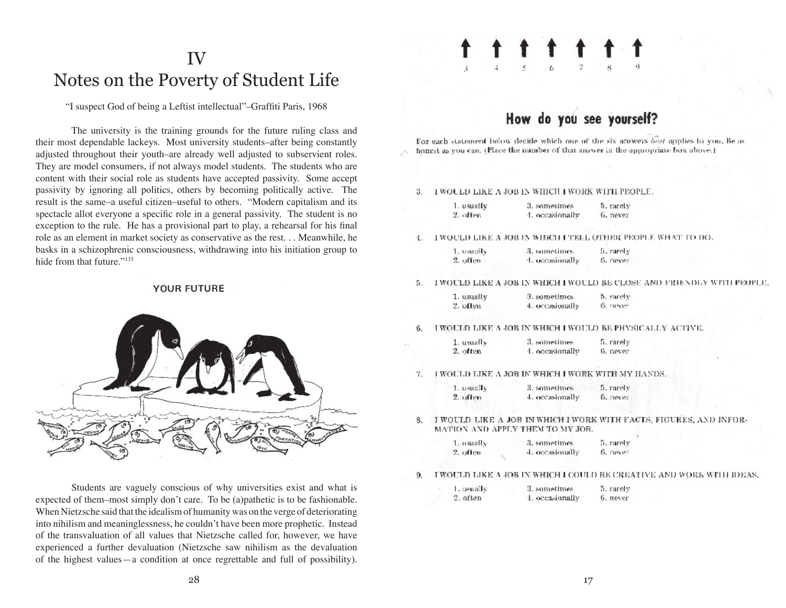## IV Notes on the Poverty of Student Life

"I suspect God of being a Leftist intellectual"–Graffiti Paris, 1968

The university is the training grounds for the future ruling class and their most dependable lackeys. Most university students–after being constantly adjusted throughout their youth–are already well adjusted to subservient roles. They are model consumers, if not always model students. The students who are content with their social role as students have accepted passivity. Some accept passivity by ignoring all politics, others by becoming politically active. The result is the same–a useful citizen–useful to others. "Modern capitalism and its spectacle allot everyone a specific role in a general passivity. The student is no exception to the rule. He has a provisional part to play, a rehearsal for his final role as an element in market society as conservative as the rest. . . Meanwhile, he basks in a schizophrenic consciousness, withdrawing into his initiation group to hide from that future."<sup>135</sup>

#### YOUR FUTURE



Students are vaguely conscious of why universities exist and what is expected of them–most simply don't care. To be (a)pathetic is to be fashionable. When Nietzsche said that the idealism of humanity was on the verge of deteriorating into nihilism and meaninglessness, he couldn't have been more prophetic. Instead of the transvaluation of all values that Nietzsche called for, however, we have experienced a further devaluation (Nietzsche saw nihilism as the devaluation of the highest values—a condition at once regrettable and full of possibility).

## How do you see yourself?

For each statement below decide which one of the six answers  $\delta \gg t$  applies to you. Be as honest as you can. (Place the number of that answer in the appropriate box above.)

3. I WOULD LIKE A JOB IN WHICH I WORK WITH PEOPLE.

| 1. usually | 3. sometimes    | 5. rarely |
|------------|-----------------|-----------|
| 2. often   | 4. occasionally | 6. never  |

#### 4. I WOULD LIKE A JOB IN WHICH I TELL CITHER PEOPLE WHAT TO HO.

| 1. usually | 3. sometimes    | 5. rarely |
|------------|-----------------|-----------|
| 2. often.  | 4. occasionally | 6. never  |

5. I WOULD LIKE A JOB IN WHICH I WOULD BE CLOSE AND FRIENDLY WITH PEOPLE.

| 1. usually | 3, sometimes    | 5. rarely |
|------------|-----------------|-----------|
| 2. often   | 4. occasionally | 6. never  |

#### I WOULD LIKE A JOB IN WHICH I WOULD BE PHYSICALLY ACTIVE. Б.

| 1. usually | 3. sometimes    | 5. rarely |
|------------|-----------------|-----------|
| 2. often   | 4. oceasionally | 6. never  |

#### FWOULD LIKE A JOB IN WHICH I WORK WITH MY HANDS.

| 1. usually | 3. sometimes    | 5. rarely |
|------------|-----------------|-----------|
| 2. uften   | 4. occasionally | b. never  |

I WOULD LIKE A JOB IN WHICH I WORK WITH FACTS, FIGURES, AND INFOR-8. MATION AND APPLY THEM TO MY JOB.

| ttarally. | 3. sometimes    | 5. rarely |
|-----------|-----------------|-----------|
| ≧. often  | 4. occasionally | 6. never  |

TWOULD LIKE A JOB IN WHICH I COULD BE CREATIVE AND WORK WITH IDEAS.

| L. usually | 3. sometimes.   | 5. rarely |
|------------|-----------------|-----------|
| 2. often   | 4. oceasionally | 6. never  |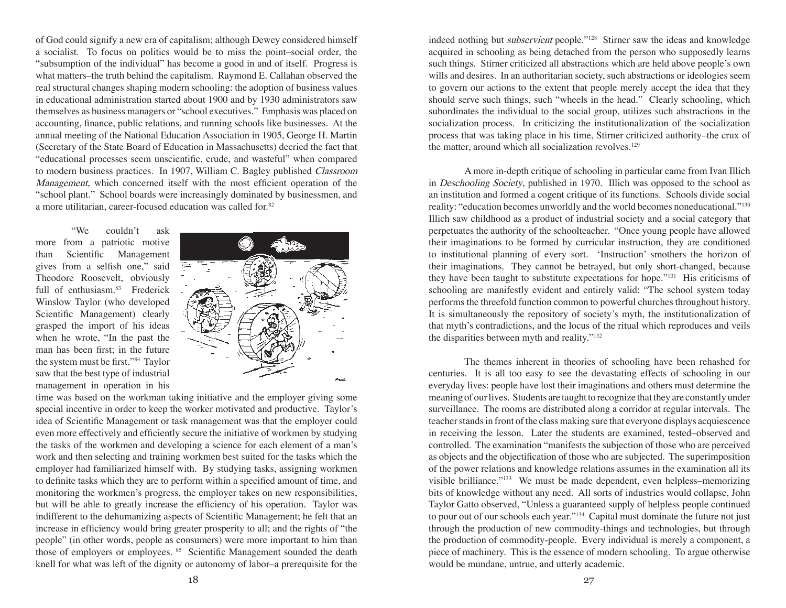of God could signify a new era of capitalism; although Dewey considered himself a socialist. To focus on politics would be to miss the point–social order, the "subsumption of the individual" has become a good in and of itself. Progress is what matters–the truth behind the capitalism. Raymond E. Callahan observed the real structural changes shaping modern schooling: the adoption of business values in educational administration started about 1900 and by 1930 administrators saw themselves as business managers or "school executives." Emphasis was placed on accounting, finance, public relations, and running schools like businesses. At the annual meeting of the National Education Association in 1905, George H. Martin (Secretary of the State Board of Education in Massachusetts) decried the fact that "educational processes seem unscientific, crude, and wasteful" when compared to modern business practices. In 1907, William C. Bagley published Classroom Management, which concerned itself with the most efficient operation of the "school plant." School boards were increasingly dominated by businessmen, and a more utilitarian, career-focused education was called for.<sup>82</sup>

"We couldn't ask more from a patriotic motive than Scientific Management gives from a selfish one," said Theodore Roosevelt, obviously full of enthusiasm.<sup>83</sup> Frederick Winslow Taylor (who developed Scientific Management) clearly grasped the import of his ideas when he wrote, "In the past the man has been first; in the future the system must be first."<sup>84</sup> Taylor saw that the best type of industrial management in operation in his



time was based on the workman taking initiative and the employer giving some special incentive in order to keep the worker motivated and productive. Taylor's idea of Scientific Management or task management was that the employer could even more effectively and efficiently secure the initiative of workmen by studying the tasks of the workmen and developing a science for each element of a man's work and then selecting and training workmen best suited for the tasks which the employer had familiarized himself with. By studying tasks, assigning workmen to definite tasks which they are to perform within a specified amount of time, and monitoring the workmen's progress, the employer takes on new responsibilities, but will be able to greatly increase the efficiency of his operation. Taylor was indifferent to the dehumanizing aspects of Scientific Management; he felt that an increase in efficiency would bring greater prosperity to all; and the rights of "the people" (in other words, people as consumers) were more important to him than those of employers or employees. <sup>85</sup> Scientific Management sounded the death knell for what was left of the dignity or autonomy of labor–a prerequisite for the indeed nothing but subservient people."<sup>128</sup> Stirner saw the ideas and knowledge acquired in schooling as being detached from the person who supposedly learns such things. Stirner criticized all abstractions which are held above people's own wills and desires. In an authoritarian society, such abstractions or ideologies seem to govern our actions to the extent that people merely accept the idea that they should serve such things, such "wheels in the head." Clearly schooling, which subordinates the individual to the social group, utilizes such abstractions in the socialization process. In criticizing the institutionalization of the socialization process that was taking place in his time, Stirner criticized authority–the crux of the matter, around which all socialization revolves.<sup>129</sup>

A more in-depth critique of schooling in particular came from Ivan Illich in Deschooling Society, published in 1970. Illich was opposed to the school as an institution and formed a cogent critique of its functions. Schools divide social reality: "education becomes unworldly and the world becomes noneducational."<sup>130</sup> Illich saw childhood as a product of industrial society and a social category that perpetuates the authority of the schoolteacher. "Once young people have allowed their imaginations to be formed by curricular instruction, they are conditioned to institutional planning of every sort. 'Instruction' smothers the horizon of their imaginations. They cannot be betrayed, but only short-changed, because they have been taught to substitute expectations for hope."<sup>131</sup> His criticisms of schooling are manifestly evident and entirely valid: "The school system today performs the threefold function common to powerful churches throughout history. It is simultaneously the repository of society's myth, the institutionalization of that myth's contradictions, and the locus of the ritual which reproduces and veils the disparities between myth and reality."<sup>132</sup>

The themes inherent in theories of schooling have been rehashed for centuries. It is all too easy to see the devastating effects of schooling in our everyday lives: people have lost their imaginations and others must determine the meaning of our lives. Students are taught to recognize that they are constantly under surveillance. The rooms are distributed along a corridor at regular intervals. The teacher stands in front of the class making sure that everyone displays acquiescence in receiving the lesson. Later the students are examined, tested–observed and controlled. The examination "manifests the subjection of those who are perceived as objects and the objectification of those who are subjected. The superimposition of the power relations and knowledge relations assumes in the examination all its visible brilliance."<sup>133</sup> We must be made dependent, even helpless–memorizing bits of knowledge without any need. All sorts of industries would collapse, John Taylor Gatto observed, "Unless a guaranteed supply of helpless people continued to pour out of our schools each year."<sup>134</sup> Capital must dominate the future not just through the production of new commodity-things and technologies, but through the production of commodity-people. Every individual is merely a component, a piece of machinery. This is the essence of modern schooling. To argue otherwise would be mundane, untrue, and utterly academic.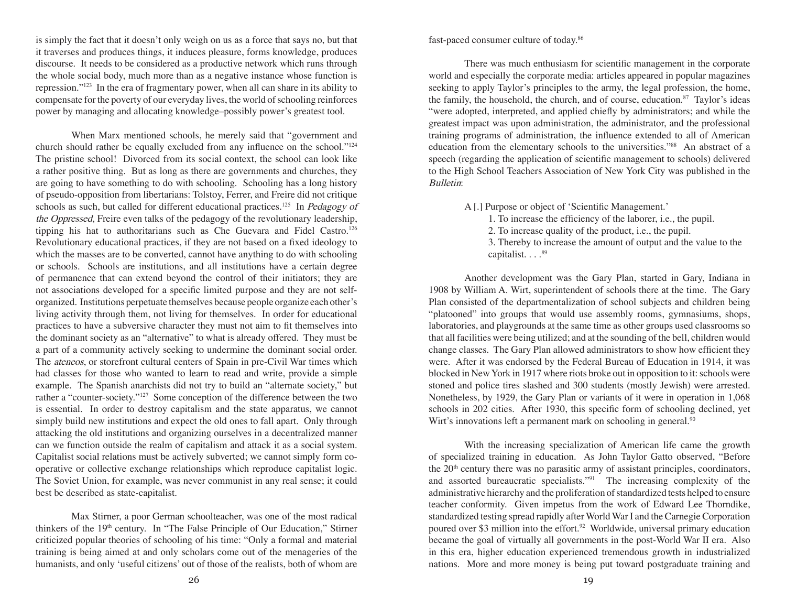is simply the fact that it doesn't only weigh on us as a force that says no, but that it traverses and produces things, it induces pleasure, forms knowledge, produces discourse. It needs to be considered as a productive network which runs through the whole social body, much more than as a negative instance whose function is repression."<sup>123</sup> In the era of fragmentary power, when all can share in its ability to compensate for the poverty of our everyday lives, the world of schooling reinforces power by managing and allocating knowledge–possibly power's greatest tool.

When Marx mentioned schools, he merely said that "government and church should rather be equally excluded from any influence on the school."<sup>124</sup> The pristine school! Divorced from its social context, the school can look like a rather positive thing. But as long as there are governments and churches, they are going to have something to do with schooling. Schooling has a long history of pseudo-opposition from libertarians: Tolstoy, Ferrer, and Freire did not critique schools as such, but called for different educational practices.<sup>125</sup> In Pedagogy of the Oppressed, Freire even talks of the pedagogy of the revolutionary leadership, tipping his hat to authoritarians such as Che Guevara and Fidel Castro.<sup>126</sup> Revolutionary educational practices, if they are not based on a fixed ideology to which the masses are to be converted, cannot have anything to do with schooling or schools. Schools are institutions, and all institutions have a certain degree of permanence that can extend beyond the control of their initiators; they are not associations developed for a specific limited purpose and they are not selforganized. Institutions perpetuate themselves because people organize each other's living activity through them, not living for themselves. In order for educational practices to have a subversive character they must not aim to fit themselves into the dominant society as an "alternative" to what is already offered. They must be a part of a community actively seeking to undermine the dominant social order. The ateneos, or storefront cultural centers of Spain in pre-Civil War times which had classes for those who wanted to learn to read and write, provide a simple example. The Spanish anarchists did not try to build an "alternate society," but rather a "counter-society."<sup>127</sup> Some conception of the difference between the two is essential. In order to destroy capitalism and the state apparatus, we cannot simply build new institutions and expect the old ones to fall apart. Only through attacking the old institutions and organizing ourselves in a decentralized manner can we function outside the realm of capitalism and attack it as a social system. Capitalist social relations must be actively subverted; we cannot simply form cooperative or collective exchange relationships which reproduce capitalist logic. The Soviet Union, for example, was never communist in any real sense; it could best be described as state-capitalist.

Max Stirner, a poor German schoolteacher, was one of the most radical thinkers of the 19<sup>th</sup> century. In "The False Principle of Our Education," Stirner criticized popular theories of schooling of his time: "Only a formal and material training is being aimed at and only scholars come out of the menageries of the humanists, and only 'useful citizens' out of those of the realists, both of whom are fast-paced consumer culture of today.<sup>86</sup>

There was much enthusiasm for scientific management in the corporate world and especially the corporate media: articles appeared in popular magazines seeking to apply Taylor's principles to the army, the legal profession, the home, the family, the household, the church, and of course, education. $87$  Taylor's ideas "were adopted, interpreted, and applied chiefly by administrators; and while the greatest impact was upon administration, the administrator, and the professional training programs of administration, the influence extended to all of American education from the elementary schools to the universities."<sup>88</sup> An abstract of a speech (regarding the application of scientific management to schools) delivered to the High School Teachers Association of New York City was published in the Bulletin:

A [.] Purpose or object of 'Scientific Management.'

1. To increase the efficiency of the laborer, i.e., the pupil.

2. To increase quality of the product, i.e., the pupil.

3. Thereby to increase the amount of output and the value to the capitalist. . . . 89

Another development was the Gary Plan, started in Gary, Indiana in 1908 by William A. Wirt, superintendent of schools there at the time. The Gary Plan consisted of the departmentalization of school subjects and children being "platooned" into groups that would use assembly rooms, gymnasiums, shops, laboratories, and playgrounds at the same time as other groups used classrooms so that all facilities were being utilized; and at the sounding of the bell, children would change classes. The Gary Plan allowed administrators to show how efficient they were. After it was endorsed by the Federal Bureau of Education in 1914, it was blocked in New York in 1917 where riots broke out in opposition to it: schools were stoned and police tires slashed and 300 students (mostly Jewish) were arrested. Nonetheless, by 1929, the Gary Plan or variants of it were in operation in 1,068 schools in 202 cities. After 1930, this specific form of schooling declined, yet Wirt's innovations left a permanent mark on schooling in general.<sup>90</sup>

With the increasing specialization of American life came the growth of specialized training in education. As John Taylor Gatto observed, "Before the  $20<sup>th</sup>$  century there was no parasitic army of assistant principles, coordinators, and assorted bureaucratic specialists."<sup>91</sup> The increasing complexity of the administrative hierarchy and the proliferation of standardized tests helped to ensure teacher conformity. Given impetus from the work of Edward Lee Thorndike, standardized testing spread rapidly after World War I and the Carnegie Corporation poured over \$3 million into the effort.<sup>92</sup> Worldwide, universal primary education became the goal of virtually all governments in the post-World War II era. Also in this era, higher education experienced tremendous growth in industrialized nations. More and more money is being put toward postgraduate training and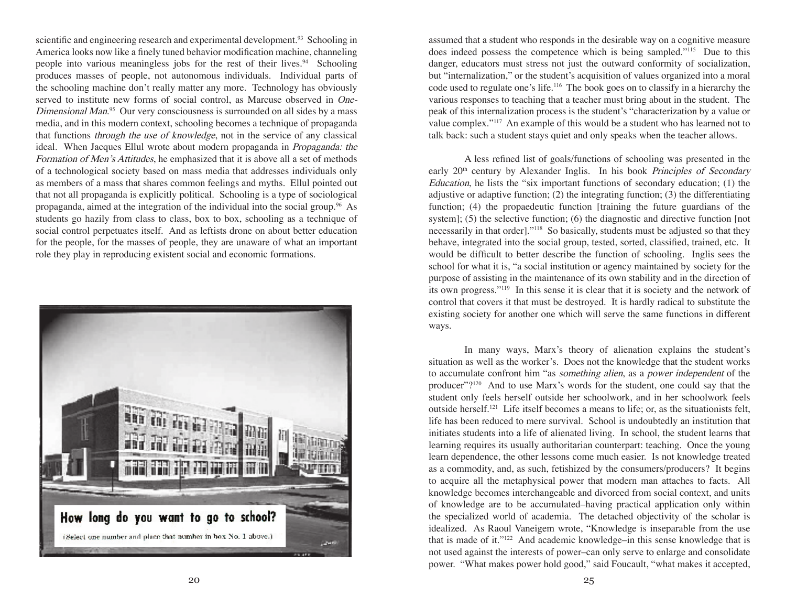scientific and engineering research and experimental development.<sup>93</sup> Schooling in America looks now like a finely tuned behavior modification machine, channeling people into various meaningless jobs for the rest of their lives.<sup>94</sup> Schooling produces masses of people, not autonomous individuals. Individual parts of the schooling machine don't really matter any more. Technology has obviously served to institute new forms of social control, as Marcuse observed in One-Dimensional Man.<sup>95</sup> Our very consciousness is surrounded on all sides by a mass media, and in this modern context, schooling becomes a technique of propaganda that functions through the use of knowledge, not in the service of any classical ideal. When Jacques Ellul wrote about modern propaganda in Propaganda: the Formation of Men's Attitudes, he emphasized that it is above all a set of methods of a technological society based on mass media that addresses individuals only as members of a mass that shares common feelings and myths. Ellul pointed out that not all propaganda is explicitly political. Schooling is a type of sociological propaganda, aimed at the integration of the individual into the social group.<sup>96</sup> As students go hazily from class to class, box to box, schooling as a technique of social control perpetuates itself. And as leftists drone on about better education for the people, for the masses of people, they are unaware of what an important role they play in reproducing existent social and economic formations.



assumed that a student who responds in the desirable way on a cognitive measure does indeed possess the competence which is being sampled."<sup>115</sup> Due to this danger, educators must stress not just the outward conformity of socialization, but "internalization," or the student's acquisition of values organized into a moral code used to regulate one's life.<sup>116</sup> The book goes on to classify in a hierarchy the various responses to teaching that a teacher must bring about in the student. The peak of this internalization process is the student's "characterization by a value or value complex."<sup>117</sup> An example of this would be a student who has learned not to talk back: such a student stays quiet and only speaks when the teacher allows.

A less refined list of goals/functions of schooling was presented in the early 20<sup>th</sup> century by Alexander Inglis. In his book *Principles of Secondary* Education, he lists the "six important functions of secondary education; (1) the adjustive or adaptive function; (2) the integrating function; (3) the differentiating function; (4) the propaedeutic function [training the future guardians of the system]; (5) the selective function; (6) the diagnostic and directive function [not necessarily in that order]."<sup>118</sup> So basically, students must be adjusted so that they behave, integrated into the social group, tested, sorted, classified, trained, etc. It would be difficult to better describe the function of schooling. Inglis sees the school for what it is, "a social institution or agency maintained by society for the purpose of assisting in the maintenance of its own stability and in the direction of its own progress."<sup>119</sup> In this sense it is clear that it is society and the network of control that covers it that must be destroyed. It is hardly radical to substitute the existing society for another one which will serve the same functions in different ways.

In many ways, Marx's theory of alienation explains the student's situation as well as the worker's. Does not the knowledge that the student works to accumulate confront him "as something alien, as a power independent of the producer"?<sup>120</sup> And to use Marx's words for the student, one could say that the student only feels herself outside her schoolwork, and in her schoolwork feels outside herself.<sup>121</sup> Life itself becomes a means to life; or, as the situationists felt, life has been reduced to mere survival. School is undoubtedly an institution that initiates students into a life of alienated living. In school, the student learns that learning requires its usually authoritarian counterpart: teaching. Once the young learn dependence, the other lessons come much easier. Is not knowledge treated as a commodity, and, as such, fetishized by the consumers/producers? It begins to acquire all the metaphysical power that modern man attaches to facts. All knowledge becomes interchangeable and divorced from social context, and units of knowledge are to be accumulated–having practical application only within the specialized world of academia. The detached objectivity of the scholar is idealized. As Raoul Vaneigem wrote, "Knowledge is inseparable from the use that is made of it."<sup>122</sup> And academic knowledge–in this sense knowledge that is not used against the interests of power–can only serve to enlarge and consolidate power. "What makes power hold good," said Foucault, "what makes it accepted,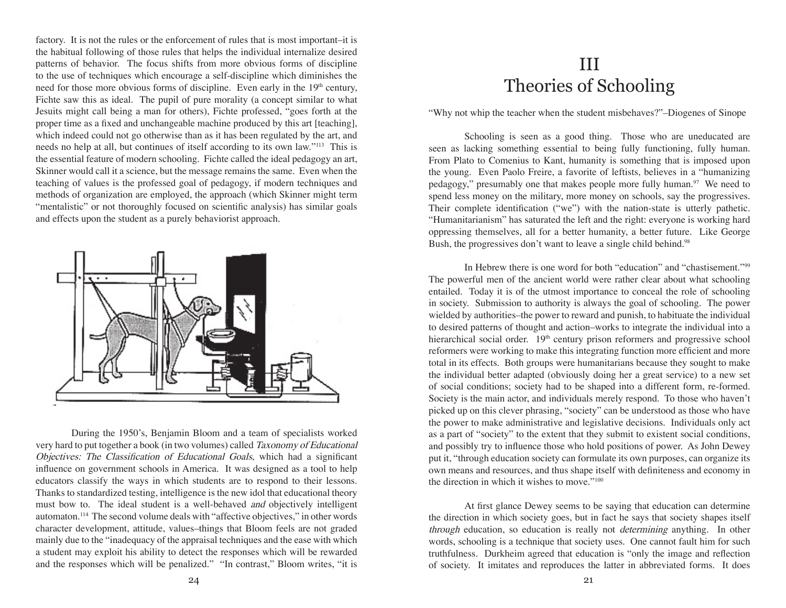factory. It is not the rules or the enforcement of rules that is most important–it is the habitual following of those rules that helps the individual internalize desired patterns of behavior. The focus shifts from more obvious forms of discipline to the use of techniques which encourage a self-discipline which diminishes the need for those more obvious forms of discipline. Even early in the  $19<sup>th</sup>$  century, Fichte saw this as ideal. The pupil of pure morality (a concept similar to what Jesuits might call being a man for others), Fichte professed, "goes forth at the proper time as a fixed and unchangeable machine produced by this art [teaching], which indeed could not go otherwise than as it has been regulated by the art, and needs no help at all, but continues of itself according to its own law."<sup>113</sup> This is the essential feature of modern schooling. Fichte called the ideal pedagogy an art, Skinner would call it a science, but the message remains the same. Even when the teaching of values is the professed goal of pedagogy, if modern techniques and methods of organization are employed, the approach (which Skinner might term "mentalistic" or not thoroughly focused on scientific analysis) has similar goals and effects upon the student as a purely behaviorist approach.



During the 1950's, Benjamin Bloom and a team of specialists worked very hard to put together a book (in two volumes) called Taxonomy of Educational Objectives: The Classification of Educational Goals, which had a significant influence on government schools in America. It was designed as a tool to help educators classify the ways in which students are to respond to their lessons. Thanks to standardized testing, intelligence is the new idol that educational theory must bow to. The ideal student is a well-behaved and objectively intelligent automaton.<sup>114</sup> The second volume deals with "affective objectives," in other words character development, attitude, values–things that Bloom feels are not graded mainly due to the "inadequacy of the appraisal techniques and the ease with which a student may exploit his ability to detect the responses which will be rewarded and the responses which will be penalized." "In contrast," Bloom writes, "it is

## III Theories of Schooling

"Why not whip the teacher when the student misbehaves?"–Diogenes of Sinope

Schooling is seen as a good thing. Those who are uneducated are seen as lacking something essential to being fully functioning, fully human. From Plato to Comenius to Kant, humanity is something that is imposed upon the young. Even Paolo Freire, a favorite of leftists, believes in a "humanizing pedagogy," presumably one that makes people more fully human. $97$  We need to spend less money on the military, more money on schools, say the progressives. Their complete identification ("we") with the nation-state is utterly pathetic. "Humanitarianism" has saturated the left and the right: everyone is working hard oppressing themselves, all for a better humanity, a better future. Like George Bush, the progressives don't want to leave a single child behind.<sup>98</sup>

In Hebrew there is one word for both "education" and "chastisement."<sup>99</sup> The powerful men of the ancient world were rather clear about what schooling entailed. Today it is of the utmost importance to conceal the role of schooling in society. Submission to authority is always the goal of schooling. The power wielded by authorities–the power to reward and punish, to habituate the individual to desired patterns of thought and action–works to integrate the individual into a hierarchical social order. 19<sup>th</sup> century prison reformers and progressive school reformers were working to make this integrating function more efficient and more total in its effects. Both groups were humanitarians because they sought to make the individual better adapted (obviously doing her a great service) to a new set of social conditions; society had to be shaped into a different form, re-formed. Society is the main actor, and individuals merely respond. To those who haven't picked up on this clever phrasing, "society" can be understood as those who have the power to make administrative and legislative decisions. Individuals only act as a part of "society" to the extent that they submit to existent social conditions, and possibly try to influence those who hold positions of power. As John Dewey put it, "through education society can formulate its own purposes, can organize its own means and resources, and thus shape itself with definiteness and economy in the direction in which it wishes to move."<sup>100</sup>

At first glance Dewey seems to be saying that education can determine the direction in which society goes, but in fact he says that society shapes itself through education, so education is really not determining anything. In other words, schooling is a technique that society uses. One cannot fault him for such truthfulness. Durkheim agreed that education is "only the image and reflection of society. It imitates and reproduces the latter in abbreviated forms. It does